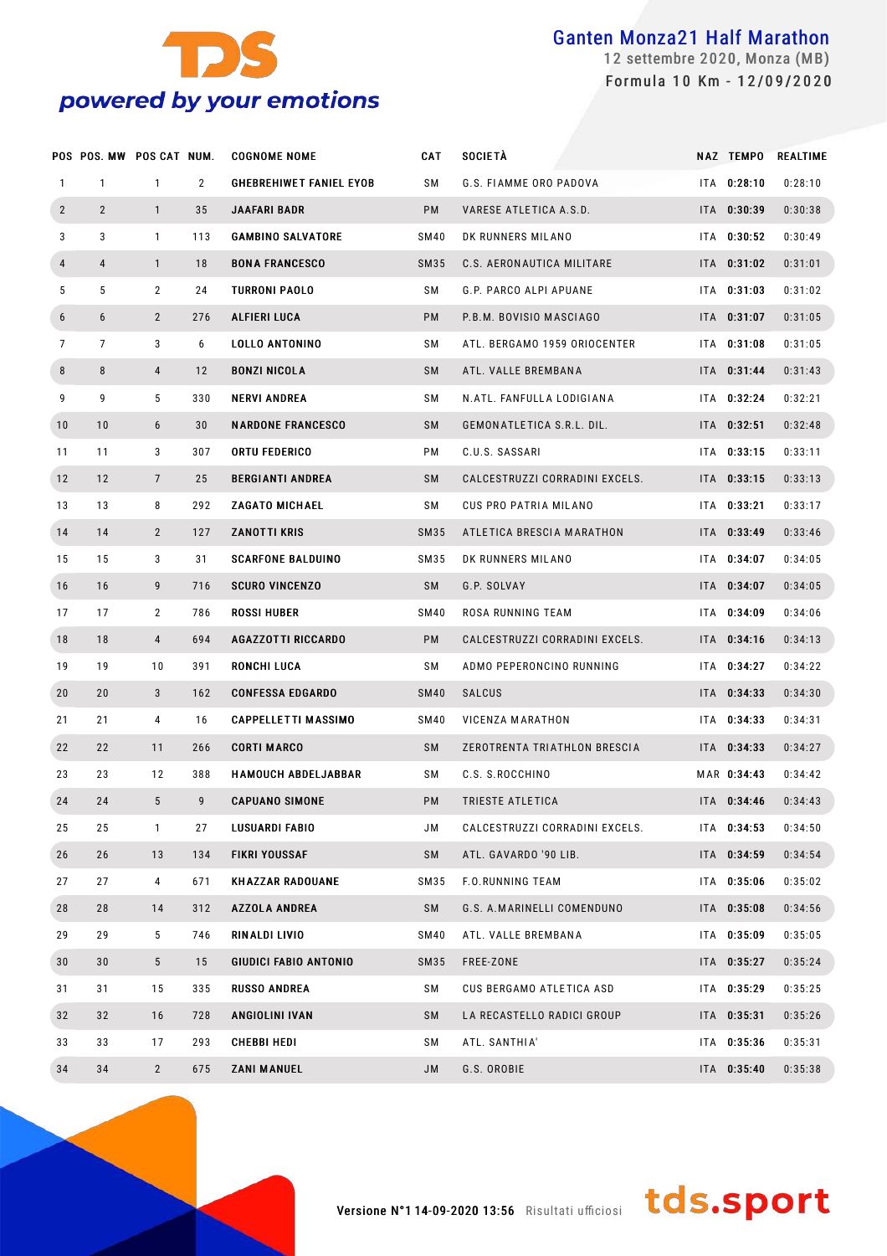

 settembre 2020, Monza (MB) Formula 10 Km - 12/09/2020

|                  | POS POS. MW POS CAT NUM. |                 |                | <b>COGNOME NOME</b>            | <b>CAT</b>  | <b>SOCIETÀ</b>                 |     | NAZ TEMPO   | <b>REALTIME</b> |
|------------------|--------------------------|-----------------|----------------|--------------------------------|-------------|--------------------------------|-----|-------------|-----------------|
| $\mathbf{1}$     | $\mathbf{1}$             | $\mathbf{1}$    | $\overline{2}$ | <b>GHEBREHIWET FANIEL EYOB</b> | SΜ          | G.S. FIAMME ORO PADOVA         | ITA | 0:28:10     | 0:28:10         |
| $\overline{2}$   | $\overline{2}$           | $\mathbf{1}$    | 35             | <b>JAAFARI BADR</b>            | <b>PM</b>   | VARESE ATLETICA A.S.D.         |     | ITA 0:30:39 | 0:30:38         |
| 3                | 3                        | $\mathbf{1}$    | 113            | <b>GAMBINO SALVATORE</b>       | SM40        | DK RUNNERS MILANO              | ITA | 0:30:52     | 0:30:49         |
| $\overline{4}$   | $\overline{4}$           | $\mathbf{1}$    | 18             | <b>BONA FRANCESCO</b>          | SM35        | C.S. AERON AUTICA MILITARE     |     | ITA 0:31:02 | 0:31:01         |
| 5                | 5                        | $\overline{2}$  | 24             | <b>TURRONI PAOLO</b>           | SΜ          | G.P. PARCO ALPI APUANE         |     | ITA 0:31:03 | 0:31:02         |
| $\boldsymbol{6}$ | 6                        | $\overline{2}$  | 276            | ALFIERI LUCA                   | <b>PM</b>   | P.B.M. BOVISIO MASCIAGO        |     | ITA 0:31:07 | 0:31:05         |
| 7                | $\overline{7}$           | 3               | 6              | LOLLO ANTONINO                 | SΜ          | ATL. BERGAMO 1959 ORIOCENTER   |     | ITA 0:31:08 | 0:31:05         |
| 8                | 8                        | $\overline{4}$  | 12             | <b>BONZI NICOLA</b>            | SM          | ATL. VALLE BREMBANA            |     | ITA 0:31:44 | 0:31:43         |
| 9                | 9                        | 5               | 330            | <b>NERVI ANDREA</b>            | SΜ          | N.ATL. FANFULLA LODIGIANA      |     | ITA 0:32:24 | 0:32:21         |
| 10               | 10                       | 6               | 30             | <b>NARDONE FRANCESCO</b>       | SM          | GEMONATLETICA S.R.L. DIL.      |     | ITA 0:32:51 | 0:32:48         |
| 11               | 11                       | 3               | 307            | <b>ORTU FEDERICO</b>           | РM          | C.U.S. SASSARI                 |     | ITA 0:33:15 | 0:33:11         |
| 12               | 12                       | $\overline{7}$  | 25             | <b>BERGIANTI ANDREA</b>        | SM          | CALCESTRUZZI CORRADINI EXCELS. |     | ITA 0:33:15 | 0:33:13         |
| 13               | 13                       | 8               | 292            | <b>ZAGATO MICHAEL</b>          | SΜ          | CUS PRO PATRIA MILANO          | ITA | 0:33:21     | 0:33:17         |
| 14               | 14                       | $\overline{2}$  | 127            | <b>ZANOTTI KRIS</b>            | SM35        | ATLETICA BRESCIA MARATHON      |     | ITA 0:33:49 | 0:33:46         |
| 15               | 15                       | 3               | 31             | <b>SCARFONE BALDUINO</b>       | SM35        | DK RUNNERS MILANO              | ITA | 0:34:07     | 0:34:05         |
| 16               | 16                       | 9               | 716            | <b>SCURO VINCENZO</b>          | SM          | G.P. SOLVAY                    |     | ITA 0:34:07 | 0:34:05         |
| 17               | 17                       | $\overline{2}$  | 786            | <b>ROSSI HUBER</b>             | SM40        | ROSA RUNNING TEAM              |     | ITA 0:34:09 | 0:34:06         |
| 18               | 18                       | 4               | 694            | <b>AGAZZOTTI RICCARDO</b>      | <b>PM</b>   | CALCESTRUZZI CORRADINI EXCELS. |     | ITA 0:34:16 | 0:34:13         |
| 19               | 19                       | 10              | 391            | RONCHI LUCA                    | SΜ          | ADMO PEPERONCINO RUNNING       | ITA | 0:34:27     | 0:34:22         |
| 20               | 20                       | 3               | 162            | <b>CONFESSA EDGARDO</b>        | <b>SM40</b> | <b>SALCUS</b>                  |     | ITA 0:34:33 | 0:34:30         |
| 21               | 21                       | 4               | 16             | <b>CAPPELLETTI MASSIMO</b>     | SM40        | VICENZA MARATHON               |     | ITA 0:34:33 | 0:34:31         |
| 22               | 22                       | 11              | 266            | <b>CORTI MARCO</b>             | <b>SM</b>   | ZEROTRENTA TRIATHLON BRESCIA   |     | ITA 0:34:33 | 0:34:27         |
| 23               | 23                       | 12              | 388            | <b>HAMOUCH ABDELJABBAR</b>     | SΜ          | C.S. S.ROCCHINO                |     | MAR 0:34:43 | 0:34:42         |
| 24               | 24                       | 5               | 9              | <b>CAPUANO SIMONE</b>          | PM          | TRIESTE ATLETICA               |     | ITA 0:34:46 | 0:34:43         |
| 25               | 25                       | $\mathbf{1}$    | 27             | <b>LUSUARDI FABIO</b>          | JM          | CALCESTRUZZI CORRADINI EXCELS. |     | ITA 0:34:53 | 0:34:50         |
| 26               | 26                       | 13              | 134            | <b>FIKRI YOUSSAF</b>           | SM          | ATL. GAVARDO '90 LIB.          |     | ITA 0:34:59 | 0:34:54         |
| 27               | 27                       | 4               | 671            | <b>KHAZZAR RADOUANE</b>        | SM35        | F.O.RUNNING TEAM               |     | ITA 0:35:06 | 0:35:02         |
| 28               | 28                       | 14              | 312            | <b>AZZOLA ANDREA</b>           | SM          | G.S. A.MARINELLI COMENDUNO     |     | ITA 0:35:08 | 0:34:56         |
| 29               | 29                       | 5               | 746            | RINALDI LIVIO                  | <b>SM40</b> | ATL. VALLE BREMBANA            |     | ITA 0:35:09 | 0:35:05         |
| 30               | 30                       | $5\phantom{.0}$ | 15             | <b>GIUDICI FABIO ANTONIO</b>   | SM35        | FREE-ZONE                      |     | ITA 0:35:27 | 0:35:24         |
| 31               | 31                       | 15              | 335            | <b>RUSSO ANDREA</b>            | SΜ          | CUS BERGAMO ATLETICA ASD       |     | ITA 0:35:29 | 0:35:25         |
| 32               | 32                       | 16              | 728            | ANGIOLINI IVAN                 | SM          | LA RECASTELLO RADICI GROUP     |     | ITA 0:35:31 | 0:35:26         |
| 33               | 33                       | 17              | 293            | CHEBBI HEDI                    | SΜ          | ATL. SANTHIA'                  |     | ITA 0:35:36 | 0:35:31         |
| 34               | 34                       | $\overline{2}$  | 675            | <b>ZANI MANUEL</b>             | JM          | G.S. OROBIE                    |     | ITA 0:35:40 | 0:35:38         |

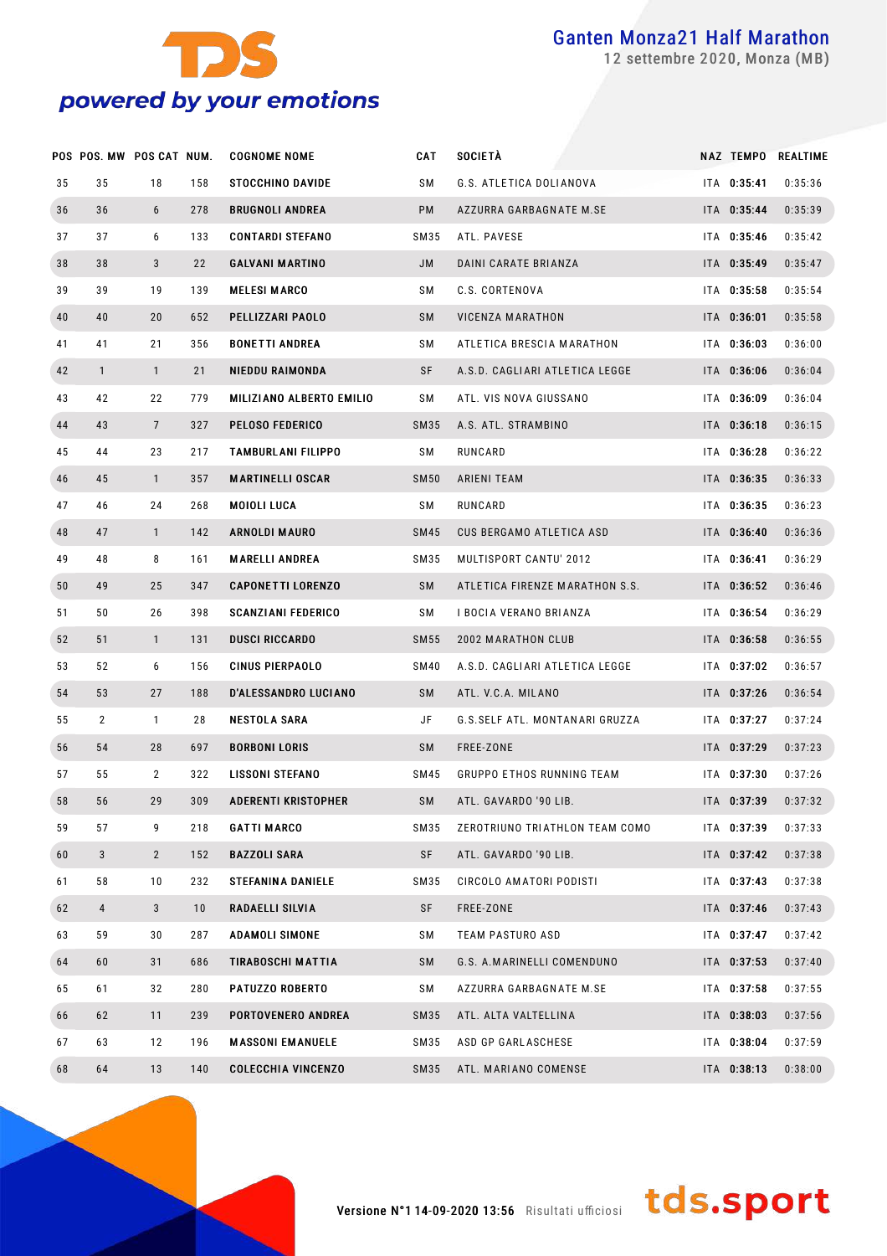

settembre 2020, Monza (MB)

|    | POS POS. MW POS CAT NUM. |                |     | <b>COGNOME NOME</b>        | CAT         | SOCIETÀ                          |             | NAZ TEMPO REALTIME |
|----|--------------------------|----------------|-----|----------------------------|-------------|----------------------------------|-------------|--------------------|
| 35 | 35                       | 18             | 158 | <b>STOCCHINO DAVIDE</b>    | SΜ          | G.S. ATLETICA DOLIANOVA          | ITA 0:35:41 | 0:35:36            |
| 36 | 36                       | 6              | 278 | <b>BRUGNOLI ANDREA</b>     | PM          | AZZURRA GARBAGNATE M.SE          | ITA 0:35:44 | 0:35:39            |
| 37 | 37                       | 6              | 133 | <b>CONTARDI STEFANO</b>    | SM35        | ATL. PAVESE                      | ITA 0:35:46 | 0:35:42            |
| 38 | 38                       | 3              | 22  | <b>GALVANI MARTINO</b>     | JM          | DAINI CARATE BRIANZA             | ITA 0:35:49 | 0:35:47            |
| 39 | 39                       | 19             | 139 | <b>MELESI MARCO</b>        | SΜ          | C.S. CORTENOVA                   | ITA 0:35:58 | 0:35:54            |
| 40 | 40                       | 20             | 652 | PELLIZZARI PAOLO           | SM          | VICENZA MARATHON                 | ITA 0:36:01 | 0:35:58            |
| 41 | 41                       | 21             | 356 | <b>BONETTI ANDREA</b>      | SΜ          | ATLETICA BRESCIA MARATHON        | ITA 0:36:03 | 0:36:00            |
| 42 | $\mathbf{1}$             | $\mathbf{1}$   | 21  | <b>NIEDDU RAIMONDA</b>     | SF          | A.S.D. CAGLIARI ATLETICA LEGGE   | ITA 0:36:06 | 0:36:04            |
| 43 | 42                       | 22             | 779 | MILIZIANO ALBERTO EMILIO   | SΜ          | ATL. VIS NOVA GIUSSANO           | ITA 0:36:09 | 0:36:04            |
| 44 | 43                       | $\overline{7}$ | 327 | <b>PELOSO FEDERICO</b>     | SM35        | A.S. ATL. STRAMBINO              | ITA 0:36:18 | 0:36:15            |
| 45 | 44                       | 23             | 217 | TAMBURLANI FILIPPO         | SΜ          | RUNCARD                          | ITA 0:36:28 | 0:36:22            |
| 46 | 45                       | $\mathbf{1}$   | 357 | <b>MARTINELLI OSCAR</b>    | <b>SM50</b> | ARIENI TEAM                      | ITA 0:36:35 | 0:36:33            |
| 47 | 46                       | 24             | 268 | MOIOLI LUCA                | SΜ          | RUNCARD                          | ITA 0:36:35 | 0:36:23            |
| 48 | 47                       | $\mathbf{1}$   | 142 | <b>ARNOLDI MAURO</b>       | <b>SM45</b> | <b>CUS BERGAMO ATLETICA ASD</b>  | ITA 0:36:40 | 0:36:36            |
| 49 | 48                       | 8              | 161 | <b>MARELLI ANDREA</b>      | SM35        | MULTISPORT CANTU' 2012           | ITA 0:36:41 | 0:36:29            |
| 50 | 49                       | 25             | 347 | <b>CAPONETTI LORENZO</b>   | SM          | ATLETICA FIRENZE MARATHON S.S.   | ITA 0:36:52 | 0:36:46            |
| 51 | 50                       | 26             | 398 | <b>SCANZIANI FEDERICO</b>  | SΜ          | I BOCIA VERANO BRIANZA           | ITA 0:36:54 | 0:36:29            |
| 52 | 51                       | $\mathbf{1}$   | 131 | <b>DUSCI RICCARDO</b>      | <b>SM55</b> | 2002 MARATHON CLUB               | ITA 0:36:58 | 0:36:55            |
| 53 | 52                       | 6              | 156 | <b>CINUS PIERPAOLO</b>     | <b>SM40</b> | A.S.D. CAGLIARI ATLETICA LEGGE   | ITA 0:37:02 | 0:36:57            |
| 54 | 53                       | 27             | 188 | D'ALESSANDRO LUCIANO       | SM          | ATL. V.C.A. MILANO               | ITA 0:37:26 | 0:36:54            |
| 55 | 2                        | $\mathbf{1}$   | 28  | NESTOLA SARA               | JF          | G.S.SELF ATL. MONTANARI GRUZZA   | ITA 0:37:27 | 0:37:24            |
| 56 | 54                       | 28             | 697 | <b>BORBONI LORIS</b>       | SM          | FREE-ZONE                        | ITA 0:37:29 | 0:37:23            |
| 57 | 55                       | $\overline{2}$ | 322 | <b>LISSONI STEFANO</b>     | SM45        | <b>GRUPPO ETHOS RUNNING TEAM</b> | ITA 0:37:30 | 0:37:26            |
| 58 | 56                       | 29             | 309 | <b>ADERENTI KRISTOPHER</b> | <b>SM</b>   | ATL. GAVARDO '90 LIB.            | ITA 0:37:39 | 0:37:32            |
| 59 | 57                       | 9              | 218 | <b>GATTI MARCO</b>         | SM35        | ZEROTRIUNO TRIATHLON TEAM COMO   | ITA 0:37:39 | 0:37:33            |
| 60 | 3                        | $\overline{2}$ | 152 | <b>BAZZOLI SARA</b>        | SF          | ATL. GAVARDO '90 LIB.            | ITA 0:37:42 | 0:37:38            |
| 61 | 58                       | 10             | 232 | <b>STEFANINA DANIELE</b>   | SM35        | CIRCOLO AMATORI PODISTI          | ITA 0:37:43 | 0:37:38            |
| 62 | 4                        | $\mathbf{3}$   | 10  | RADAELLI SILVIA            | SF          | FREE-ZONE                        | ITA 0:37:46 | 0:37:43            |
| 63 | 59                       | 30             | 287 | <b>ADAMOLI SIMONE</b>      | SΜ          | <b>TEAM PASTURO ASD</b>          | ITA 0:37:47 | 0:37:42            |
| 64 | 60                       | 31             | 686 | TIRABOSCHI MATTIA          | SM          | G.S. A.MARINELLI COMENDUNO       | ITA 0:37:53 | 0:37:40            |
| 65 | 61                       | 32             | 280 | <b>PATUZZO ROBERTO</b>     | SΜ          | AZZURRA GARBAGNATE M.SE          | ITA 0:37:58 | 0:37:55            |
| 66 | 62                       | 11             | 239 | PORTOVENERO ANDREA         | SM35        | ATL. ALTA VALTELLINA             | ITA 0:38:03 | 0:37:56            |
| 67 | 63                       | 12             | 196 | <b>MASSONI EMANUELE</b>    | SM35        | ASD GP GARLASCHESE               | ITA 0:38:04 | 0:37:59            |
| 68 | 64                       | 13             | 140 | <b>COLECCHIA VINCENZO</b>  | SM35        | ATL. MARIANO COMENSE             | ITA 0:38:13 | 0:38:00            |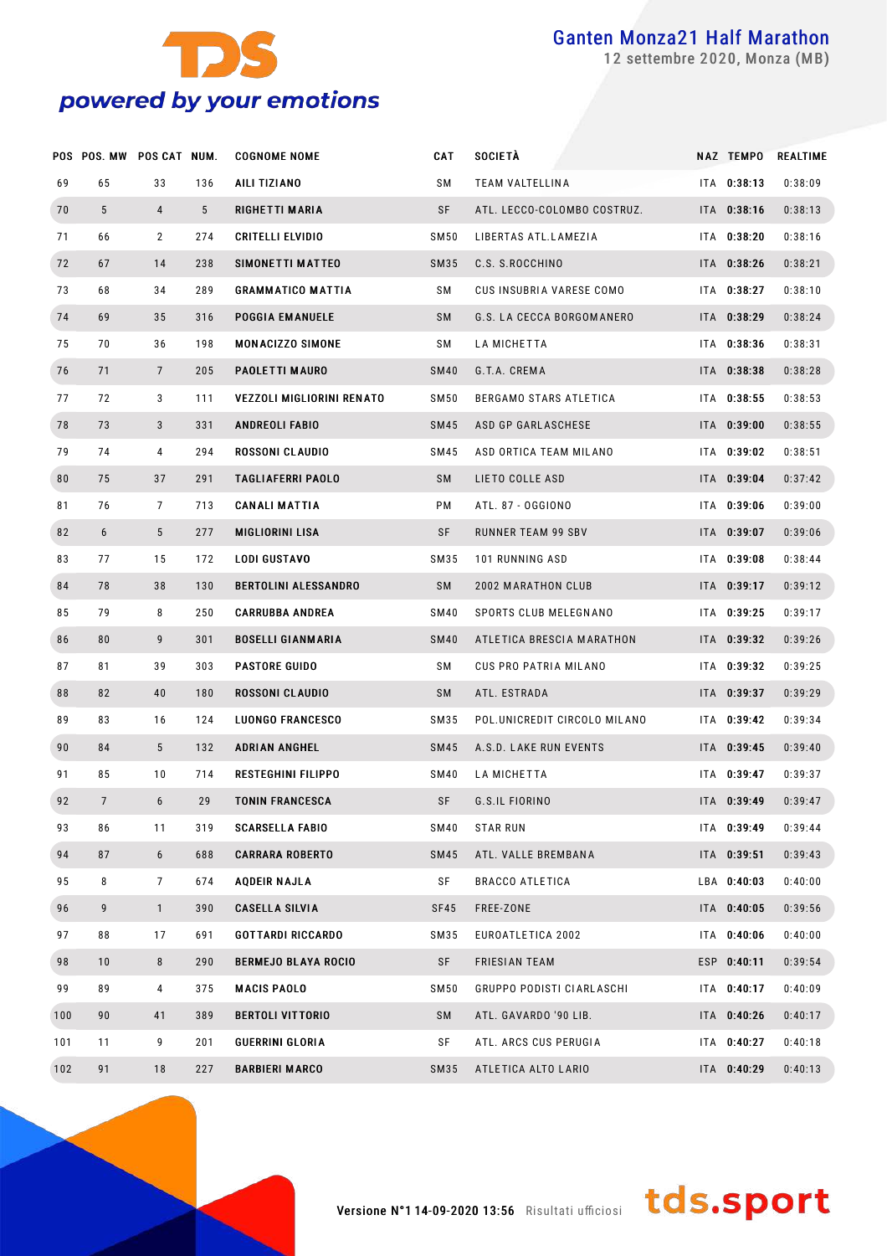

settembre 2020, Monza (MB)

|     | POS POS. MW POS CAT NUM. |                 |     | <b>COGNOME NOME</b>         | CAT         | SOCIETÀ                      | NAZ TEMPO   | <b>REALTIME</b> |
|-----|--------------------------|-----------------|-----|-----------------------------|-------------|------------------------------|-------------|-----------------|
| 69  | 65                       | 33              | 136 | AILI TIZIANO                | SΜ          | TEAM VALTELLINA              | ITA 0:38:13 | 0:38:09         |
| 70  | 5                        | 4               | 5   | RIGHETTI MARIA              | SF          | ATL. LECCO-COLOMBO COSTRUZ.  | ITA 0:38:16 | 0:38:13         |
| 71  | 66                       | $\mathbf{2}$    | 274 | <b>CRITELLI ELVIDIO</b>     | SM50        | LIBERTAS ATL.LAMEZIA         | ITA 0:38:20 | 0:38:16         |
| 72  | 67                       | 14              | 238 | SIMONETTI MATTEO            | SM35        | C.S. S.ROCCHINO              | ITA 0:38:26 | 0:38:21         |
| 73  | 68                       | 34              | 289 | <b>GRAMMATICO MATTIA</b>    | SM          | CUS INSUBRIA VARESE COMO     | ITA 0:38:27 | 0:38:10         |
| 74  | 69                       | 35              | 316 | <b>POGGIA EMANUELE</b>      | SM          | G.S. LA CECCA BORGOMANERO    | ITA 0:38:29 | 0:38:24         |
| 75  | 70                       | 36              | 198 | <b>MONACIZZO SIMONE</b>     | SM          | LA MICHETTA                  | ITA 0:38:36 | 0:38:31         |
| 76  | 71                       | $7\overline{ }$ | 205 | <b>PAOLETTI MAURO</b>       | <b>SM40</b> | G.T.A. CREMA                 | ITA 0:38:38 | 0:38:28         |
| 77  | 72                       | 3               | 111 | VEZZOLI MIGLIORINI RENATO   | SM50        | BERGAMO STARS ATLETICA       | ITA 0:38:55 | 0:38:53         |
| 78  | 73                       | 3               | 331 | <b>ANDREOLI FABIO</b>       | SM45        | ASD GP GARLASCHESE           | ITA 0:39:00 | 0:38:55         |
| 79  | 74                       | 4               | 294 | <b>ROSSONI CLAUDIO</b>      | SM45        | ASD ORTICA TEAM MILANO       | ITA 0:39:02 | 0:38:51         |
| 80  | 75                       | 37              | 291 | <b>TAGLIAFERRI PAOLO</b>    | SM          | LIETO COLLE ASD              | ITA 0:39:04 | 0:37:42         |
| 81  | 76                       | $7\phantom{.}$  | 713 | <b>CANALI MATTIA</b>        | РM          | ATL. 87 - OGGIONO            | ITA 0:39:06 | 0:39:00         |
| 82  | 6                        | 5               | 277 | <b>MIGLIORINI LISA</b>      | SF          | <b>RUNNER TEAM 99 SBV</b>    | ITA 0:39:07 | 0:39:06         |
| 83  | 77                       | 15              | 172 | <b>LODI GUSTAVO</b>         | SM35        | 101 RUNNING ASD              | ITA 0:39:08 | 0:38:44         |
| 84  | 78                       | 38              | 130 | <b>BERTOLINI ALESSANDRO</b> | SM          | 2002 MARATHON CLUB           | ITA 0:39:17 | 0:39:12         |
| 85  | 79                       | 8               | 250 | <b>CARRUBBA ANDREA</b>      | SM40        | SPORTS CLUB MELEGNANO        | ITA 0:39:25 | 0:39:17         |
| 86  | 80                       | 9               | 301 | <b>BOSELLI GIANMARIA</b>    | <b>SM40</b> | ATLETICA BRESCIA MARATHON    | ITA 0:39:32 | 0:39:26         |
| 87  | 81                       | 39              | 303 | <b>PASTORE GUIDO</b>        | SΜ          | CUS PRO PATRIA MILANO        | ITA 0:39:32 | 0:39:25         |
| 88  | 82                       | 40              | 180 | ROSSONI CLAUDIO             | SM          | ATL. ESTRADA                 | ITA 0:39:37 | 0:39:29         |
| 89  | 83                       | 16              | 124 | <b>LUONGO FRANCESCO</b>     | SM35        | POL.UNICREDIT CIRCOLO MILANO | ITA 0:39:42 | 0:39:34         |
| 90  | 84                       | $5^{\circ}$     | 132 | <b>ADRIAN ANGHEL</b>        | SM45        | A.S.D. LAKE RUN EVENTS       | ITA 0:39:45 | 0:39:40         |
| 91  | 85                       | 10              | 714 | <b>RESTEGHINI FILIPPO</b>   | SM40        | LA MICHETTA                  | ITA 0:39:47 | 0:39:37         |
| 92  | $\overline{7}$           | 6               | 29  | <b>TONIN FRANCESCA</b>      | SF          | G.S.IL FIORINO               | ITA 0:39:49 | 0:39:47         |
| 93  | 86                       | 11              | 319 | <b>SCARSELLA FABIO</b>      | SM40        | STAR RUN                     | ITA 0:39:49 | 0:39:44         |
| 94  | 87                       | 6               | 688 | <b>CARRARA ROBERTO</b>      | SM45        | ATL. VALLE BREMBANA          | ITA 0:39:51 | 0:39:43         |
| 95  | 8                        | 7               | 674 | AQDEIR NAJLA                | SF          | <b>BRACCO ATLETICA</b>       | LBA 0:40:03 | 0:40:00         |
| 96  | 9                        | $\mathbf{1}$    | 390 | <b>CASELLA SILVIA</b>       | SF45        | FREE-ZONE                    | ITA 0:40:05 | 0:39:56         |
| 97  | 88                       | 17              | 691 | GOTTARDI RICCARDO           | SM35        | EUROATLETICA 2002            | ITA 0:40:06 | 0:40:00         |
| 98  | 10                       | 8               | 290 | <b>BERMEJO BLAYA ROCIO</b>  | SF          | <b>FRIESIAN TEAM</b>         | ESP 0:40:11 | 0:39:54         |
| 99  | 89                       | 4               | 375 | MACIS PAOLO                 | SM50        | GRUPPO PODISTI CIARLASCHI    | ITA 0:40:17 | 0:40:09         |
| 100 | 90                       | 41              | 389 | <b>BERTOLI VITTORIO</b>     | SM          | ATL. GAVARDO '90 LIB.        | ITA 0:40:26 | 0:40:17         |
| 101 | 11                       | 9               | 201 | GUERRINI GLORIA             | SF          | ATL. ARCS CUS PERUGIA        | ITA 0:40:27 | 0:40:18         |
| 102 | 91                       | 18              | 227 | <b>BARBIERI MARCO</b>       | SM35        | ATLETICA ALTO LARIO          | ITA 0:40:29 | 0:40:13         |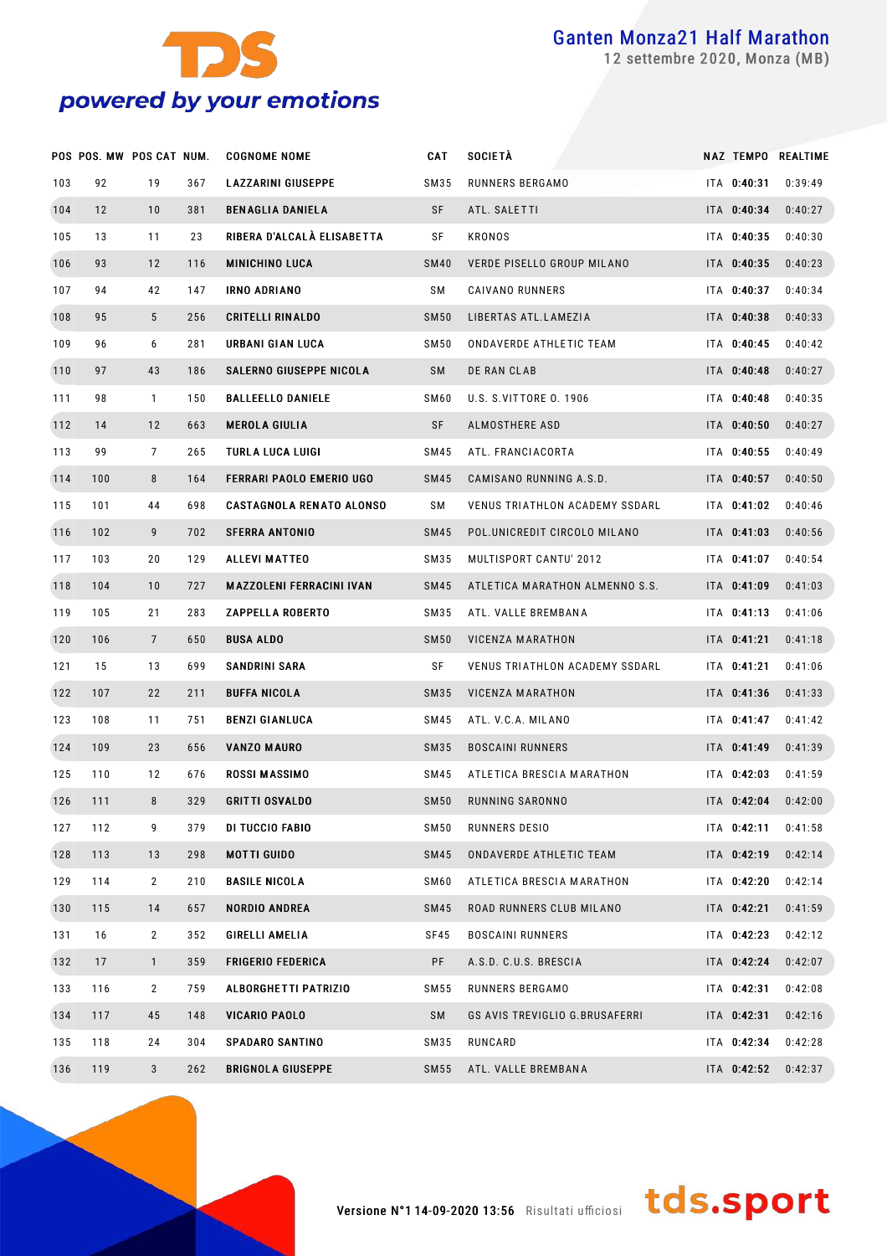

settembre 2020, Monza (MB)

|     | POS POS. MW POS CAT NUM. |                 |     | <b>COGNOME NOME</b>             | CAT         | <b>SOCIETÀ</b>                 |             | NAZ TEMPO REALTIME |
|-----|--------------------------|-----------------|-----|---------------------------------|-------------|--------------------------------|-------------|--------------------|
| 103 | 92                       | 19              | 367 | <b>LAZZARINI GIUSEPPE</b>       | SM35        | RUNNERS BERGAMO                | ITA 0:40:31 | 0:39:49            |
| 104 | 12                       | 10              | 381 | <b>BENAGLIA DANIELA</b>         | SF          | ATL. SALETTI                   | ITA 0:40:34 | 0:40:27            |
| 105 | 13                       | 11              | 23  | RIBERA D'ALCALÀ ELISABETTA      | SF          | KRONOS                         | ITA 0:40:35 | 0:40:30            |
| 106 | 93                       | 12              | 116 | <b>MINICHINO LUCA</b>           | <b>SM40</b> | VERDE PISELLO GROUP MILANO     | ITA 0:40:35 | 0:40:23            |
| 107 | 94                       | 42              | 147 | <b>IRNO ADRIANO</b>             | SΜ          | CAIVANO RUNNERS                | ITA 0:40:37 | 0:40:34            |
| 108 | 95                       | 5               | 256 | <b>CRITELLI RINALDO</b>         | <b>SM50</b> | LIBERTAS ATL.LAMEZIA           | ITA 0:40:38 | 0:40:33            |
| 109 | 96                       | 6               | 281 | URBANI GIAN LUCA                | SM 50       | ONDAVERDE ATHLETIC TEAM        | ITA 0:40:45 | 0:40:42            |
| 110 | 97                       | 43              | 186 | SALERNO GIUSEPPE NICOLA         | SM          | DE RAN CLAB                    | ITA 0:40:48 | 0:40:27            |
| 111 | 98                       | $\mathbf{1}$    | 150 | <b>BALLEELLO DANIELE</b>        | SM60        | U.S. S.VITTORE 0. 1906         | ITA 0:40:48 | 0:40:35            |
| 112 | 14                       | 12              | 663 | <b>MEROLA GIULIA</b>            | SF          | ALMOSTHERE ASD                 | ITA 0:40:50 | 0:40:27            |
| 113 | 99                       | 7               | 265 | TURLA LUCA LUIGI                | SM45        | ATL. FRANCIACORTA              | ITA 0:40:55 | 0:40:49            |
| 114 | 100                      | 8               | 164 | FERRARI PAOLO EMERIO UGO        | SM45        | CAMISANO RUNNING A.S.D.        | ITA 0:40:57 | 0:40:50            |
| 115 | 101                      | 44              | 698 | <b>CASTAGNOLA RENATO ALONSO</b> | SΜ          | VENUS TRIATHLON ACADEMY SSDARL | ITA 0:41:02 | 0:40:46            |
| 116 | 102                      | 9               | 702 | <b>SFERRA ANTONIO</b>           | SM45        | POL.UNICREDIT CIRCOLO MILANO   | ITA 0:41:03 | 0:40:56            |
| 117 | 103                      | 20              | 129 | <b>ALLEVI MATTEO</b>            | SM35        | MULTISPORT CANTU' 2012         | ITA 0:41:07 | 0:40:54            |
| 118 | 104                      | 10              | 727 | <b>MAZZOLENI FERRACINI IVAN</b> | SM45        | ATLETICA MARATHON ALMENNO S.S. | ITA 0:41:09 | 0:41:03            |
| 119 | 105                      | 21              | 283 | <b>ZAPPELLA ROBERTO</b>         | SM35        | ATL. VALLE BREMBANA            | ITA 0:41:13 | 0:41:06            |
| 120 | 106                      | $7\overline{ }$ | 650 | <b>BUSA ALDO</b>                | <b>SM50</b> | VICENZA MARATHON               | ITA 0:41:21 | 0:41:18            |
| 121 | 15                       | 13              | 699 | SANDRINI SARA                   | SF          | VENUS TRIATHLON ACADEMY SSDARL | ITA 0:41:21 | 0:41:06            |
| 122 | 107                      | 22              | 211 | <b>BUFFA NICOLA</b>             | SM35        | VICENZA MARATHON               | ITA 0:41:36 | 0:41:33            |
| 123 | 108                      | 11              | 751 | <b>BENZI GIANLUCA</b>           | SM45        | ATL. V.C.A. MILANO             | ITA 0:41:47 | 0:41:42            |
| 124 | 109                      | 23              | 656 | <b>VANZO MAURO</b>              | SM35        | <b>BOSCAINI RUNNERS</b>        | ITA 0:41:49 | 0:41:39            |
| 125 | 110                      | 12              | 676 | <b>ROSSI MASSIMO</b>            | SM45        | ATLETICA BRESCIA MARATHON      | ITA 0:42:03 | 0:41:59            |
| 126 | 111                      | 8               | 329 | <b>GRITTI OSVALDO</b>           | <b>SM50</b> | RUNNING SARONNO                | ITA 0:42:04 | 0:42:00            |
| 127 | 112                      | 9               | 379 | DI TUCCIO FABIO                 | SM 50       | RUNNERS DESIO                  | ITA 0:42:11 | 0:41:58            |
| 128 | 113                      | 13              | 298 | MOTTI GUIDO                     | SM45        | ONDAVERDE ATHLETIC TEAM        | ITA 0:42:19 | 0:42:14            |
| 129 | 114                      | $\mathbf{2}$    | 210 | <b>BASILE NICOLA</b>            | SM60        | ATLETICA BRESCIA MARATHON      | ITA 0:42:20 | 0:42:14            |
| 130 | 115                      | 14              | 657 | <b>NORDIO ANDREA</b>            | SM45        | ROAD RUNNERS CLUB MILANO       | ITA 0:42:21 | 0:41:59            |
| 131 | 16                       | $\mathbf{2}$    | 352 | <b>GIRELLI AMELIA</b>           | SF45        | <b>BOSCAINI RUNNERS</b>        | ITA 0:42:23 | 0:42:12            |
| 132 | 17                       | $\mathbf{1}$    | 359 | <b>FRIGERIO FEDERICA</b>        | PF          | A.S.D. C.U.S. BRESCIA          | ITA 0:42:24 | 0:42:07            |
| 133 | 116                      | $\mathbf{2}$    | 759 | <b>ALBORGHETTI PATRIZIO</b>     | SM 55       | RUNNERS BERGAMO                | ITA 0:42:31 | 0:42:08            |
| 134 | 117                      | 45              | 148 | <b>VICARIO PAOLO</b>            | SM          | GS AVIS TREVIGLIO G.BRUSAFERRI | ITA 0:42:31 | 0:42:16            |
| 135 | 118                      | 24              | 304 | <b>SPADARO SANTINO</b>          | SM35        | RUNCARD                        | ITA 0:42:34 | 0:42:28            |
| 136 | 119                      | 3 <sup>1</sup>  | 262 | <b>BRIGNOLA GIUSEPPE</b>        | SM 55       | ATL. VALLE BREMBANA            | ITA 0:42:52 | 0:42:37            |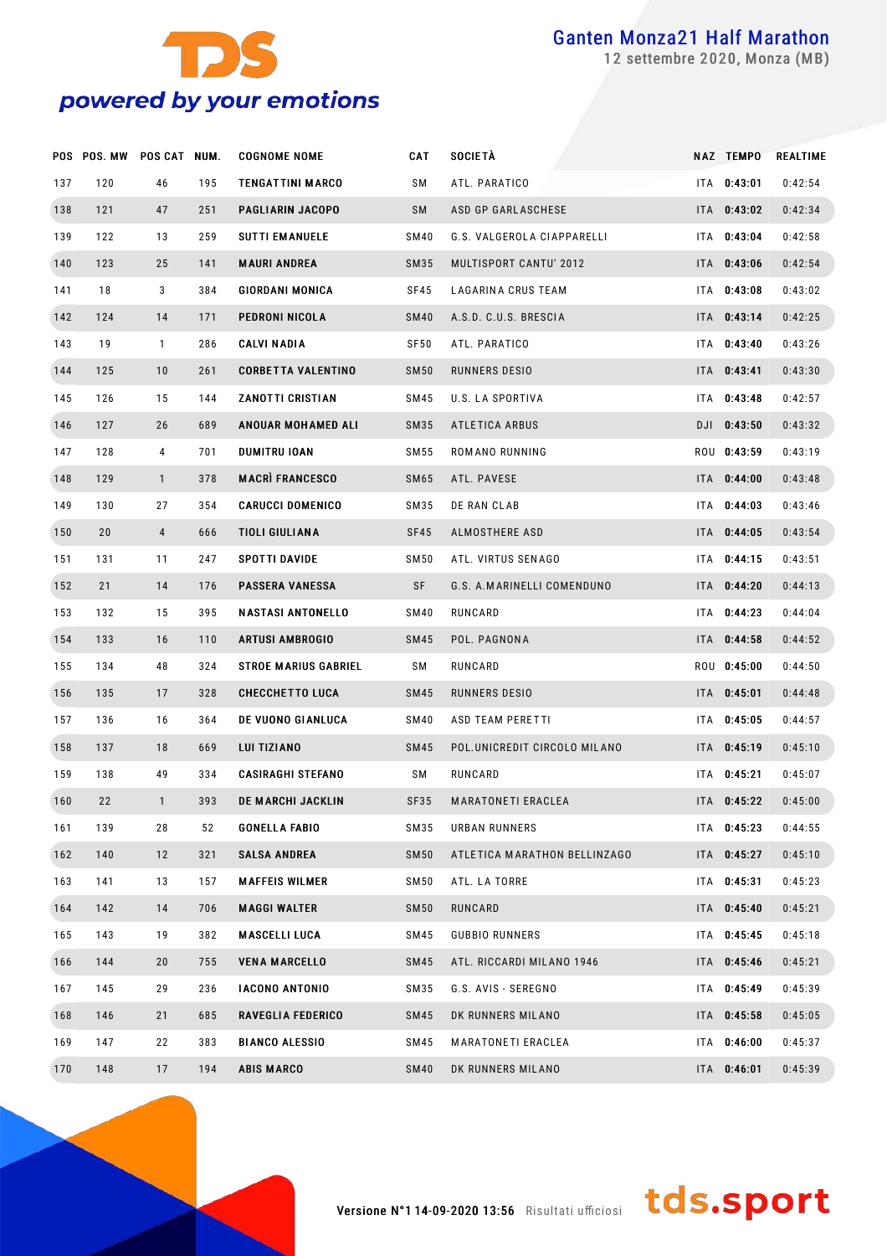

settembre 2020, Monza (MB)

|     | POS POS. MW | POS CAT NUM.   |     | <b>COGNOME NOME</b>         | CAT         | <b>SOCIETÀ</b>               | NAZ TEMPO   | <b>REALTIME</b> |
|-----|-------------|----------------|-----|-----------------------------|-------------|------------------------------|-------------|-----------------|
| 137 | 120         | 46             | 195 | <b>TENGATTINI MARCO</b>     | SΜ          | ATL. PARATICO                | ITA 0:43:01 | 0:42:54         |
| 138 | 121         | 47             | 251 | PAGLIARIN JACOPO            | SM          | ASD GP GARLASCHESE           | ITA 0:43:02 | 0:42:34         |
| 139 | 122         | 13             | 259 | <b>SUTTI EMANUELE</b>       | SM40        | G.S. VALGEROLA CIAPPARELLI   | ITA 0:43:04 | 0:42:58         |
| 140 | 123         | 25             | 141 | <b>MAURI ANDREA</b>         | SM35        | MULTISPORT CANTU' 2012       | ITA 0:43:06 | 0:42:54         |
| 141 | 18          | 3              | 384 | <b>GIORDANI MONICA</b>      | SF45        | LAGARINA CRUS TEAM           | ITA 0:43:08 | 0:43:02         |
| 142 | 124         | 14             | 171 | PEDRONI NICOLA              | <b>SM40</b> | A.S.D. C.U.S. BRESCIA        | ITA 0:43:14 | 0:42:25         |
| 143 | 19          | $\mathbf{1}$   | 286 | <b>CALVI NADIA</b>          | SF50        | ATL. PARATICO                | ITA 0:43:40 | 0:43:26         |
| 144 | 125         | 10             | 261 | <b>CORBETTA VALENTINO</b>   | <b>SM50</b> | RUNNERS DESIO                | ITA 0:43:41 | 0:43:30         |
| 145 | 126         | 15             | 144 | <b>ZANOTTI CRISTIAN</b>     | SM45        | U.S. LA SPORTIVA             | ITA 0:43:48 | 0:42:57         |
| 146 | 127         | 26             | 689 | <b>ANOUAR MOHAMED ALI</b>   | SM35        | <b>ATLETICA ARBUS</b>        | DJI 0:43:50 | 0:43:32         |
| 147 | 128         | 4              | 701 | <b>DUMITRU IOAN</b>         | SM 55       | ROMANO RUNNING               | ROU 0:43:59 | 0:43:19         |
| 148 | 129         | $\mathbf{1}$   | 378 | <b>MACRI FRANCESCO</b>      | SM65        | ATL. PAVESE                  | ITA 0:44:00 | 0:43:48         |
| 149 | 130         | 27             | 354 | <b>CARUCCI DOMENICO</b>     | SM35        | DE RAN CLAB                  | ITA 0:44:03 | 0:43:46         |
| 150 | 20          | $\overline{4}$ | 666 | <b>TIOLI GIULIANA</b>       | SF45        | ALMOSTHERE ASD               | ITA 0:44:05 | 0:43:54         |
| 151 | 131         | 11             | 247 | SPOTTI DAVIDE               | SM50        | ATL. VIRTUS SENAGO           | ITA 0:44:15 | 0:43:51         |
| 152 | 21          | 14             | 176 | <b>PASSERA VANESSA</b>      | SF          | G.S. A.MARINELLI COMENDUNO   | ITA 0:44:20 | 0:44:13         |
| 153 | 132         | 15             | 395 | <b>NASTASI ANTONELLO</b>    | SM40        | RUNCARD                      | ITA 0:44:23 | 0:44:04         |
| 154 | 133         | 16             | 110 | <b>ARTUSI AMBROGIO</b>      | SM45        | POL. PAGNONA                 | ITA 0:44:58 | 0:44:52         |
| 155 | 134         | 48             | 324 | <b>STROE MARIUS GABRIEL</b> | SM          | RUNCARD                      | ROU 0:45:00 | 0:44:50         |
| 156 | 135         | 17             | 328 | <b>CHECCHETTO LUCA</b>      | SM45        | RUNNERS DESIO                | ITA 0:45:01 | 0:44:48         |
| 157 | 136         | 16             | 364 | DE VUONO GIANLUCA           | SM40        | ASD TEAM PERETTI             | ITA 0:45:05 | 0:44:57         |
| 158 | 137         | 18             | 669 | LUI TIZIANO                 | SM45        | POL.UNICREDIT CIRCOLO MILANO | ITA 0:45:19 | 0:45:10         |
| 159 | 138         | 49             | 334 | <b>CASIRAGHI STEFANO</b>    | SM          | RUNCARD                      | ITA 0:45:21 | 0:45:07         |
| 160 | 22          | $\mathbf{1}$   | 393 | DE MARCHI JACKLIN           | SF35        | <b>MARATONETI ERACLEA</b>    | ITA 0:45:22 | 0:45:00         |
| 161 | 139         | 28             | 52  | <b>GONELLA FABIO</b>        | SM35        | <b>URBAN RUNNERS</b>         | ITA 0:45:23 | 0:44:55         |
| 162 | 140         | 12             | 321 | <b>SALSA ANDREA</b>         | <b>SM50</b> | ATLETICA MARATHON BELLINZAGO | ITA 0:45:27 | 0:45:10         |
| 163 | 141         | 13             | 157 | <b>MAFFEIS WILMER</b>       | SM50        | ATL. LA TORRE                | ITA 0:45:31 | 0:45:23         |
| 164 | 142         | 14             | 706 | <b>MAGGI WALTER</b>         | <b>SM50</b> | RUNCARD                      | ITA 0:45:40 | 0:45:21         |
| 165 | 143         | 19             | 382 | <b>MASCELLI LUCA</b>        | SM45        | <b>GUBBIO RUNNERS</b>        | ITA 0:45:45 | 0:45:18         |
| 166 | 144         | 20             | 755 | <b>VENA MARCELLO</b>        | SM45        | ATL. RICCARDI MILANO 1946    | ITA 0:45:46 | 0:45:21         |
| 167 | 145         | 29             | 236 | <b>IACONO ANTONIO</b>       | SM35        | G.S. AVIS - SEREGNO          | ITA 0:45:49 | 0:45:39         |
| 168 | 146         | 21             | 685 | RAVEGLIA FEDERICO           | <b>SM45</b> | DK RUNNERS MILANO            | ITA 0:45:58 | 0:45:05         |
| 169 | 147         | 22             | 383 | <b>BIANCO ALESSIO</b>       | SM45        | MARATONETI ERACLEA           | ITA 0:46:00 | 0:45:37         |
| 170 | 148         | 17             | 194 | <b>ABIS MARCO</b>           | <b>SM40</b> | DK RUNNERS MILANO            | ITA 0:46:01 | 0:45:39         |

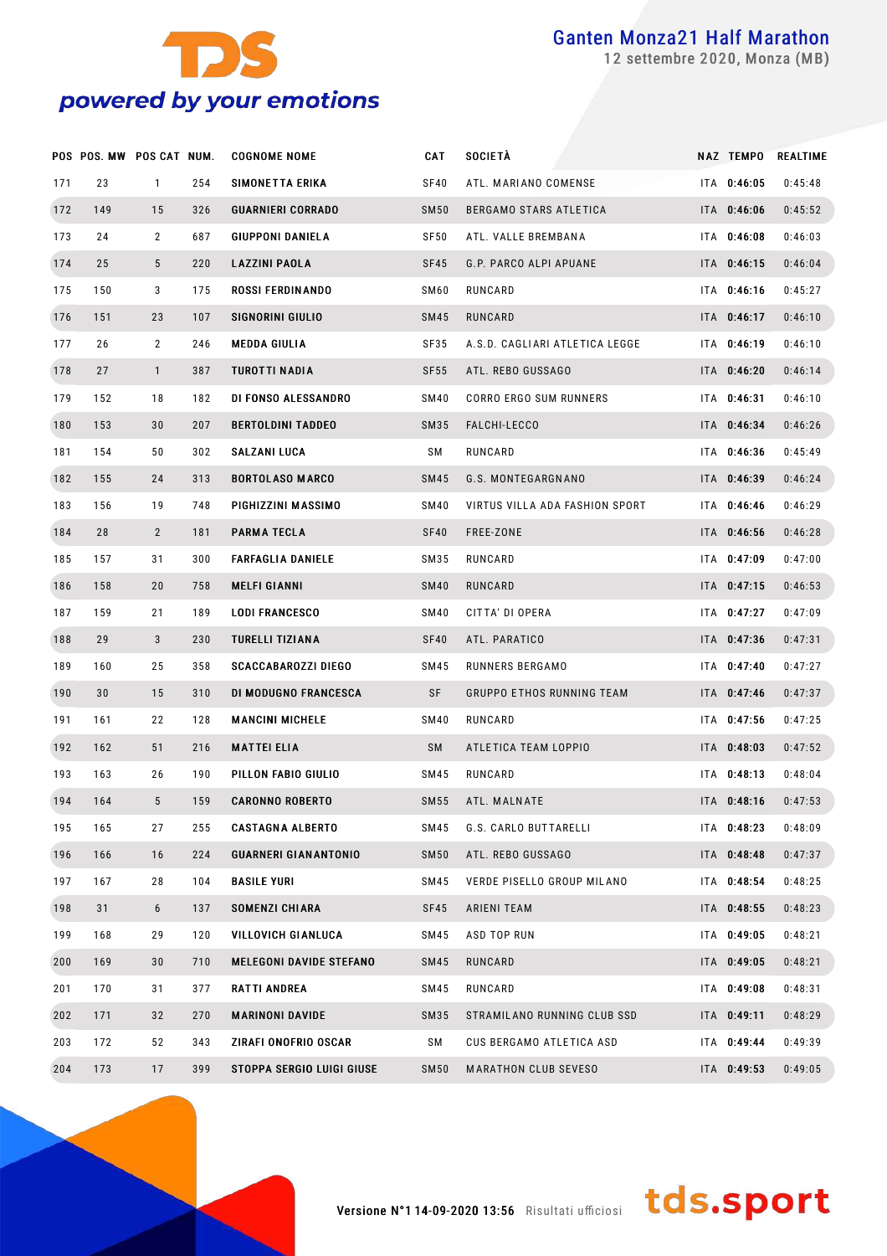

settembre 2020, Monza (MB)

|     | POS POS. MW POS CAT NUM. |                 |     | <b>COGNOME NOME</b>            | <b>CAT</b>       | <b>SOCIETÀ</b>                   | NAZ TEMPO   | REALTIME |
|-----|--------------------------|-----------------|-----|--------------------------------|------------------|----------------------------------|-------------|----------|
| 171 | 23                       | $\mathbf{1}$    | 254 | SIMONETTA ERIKA                | <b>SF40</b>      | ATL. MARIANO COMENSE             | ITA 0:46:05 | 0:45:48  |
| 172 | 149                      | 15              | 326 | <b>GUARNIERI CORRADO</b>       | <b>SM50</b>      | BERGAMO STARS ATLETICA           | ITA 0:46:06 | 0:45:52  |
| 173 | 24                       | $\overline{2}$  | 687 | <b>GIUPPONI DANIELA</b>        | SF <sub>50</sub> | ATL. VALLE BREMBANA              | ITA 0:46:08 | 0:46:03  |
| 174 | 25                       | $5\phantom{.0}$ | 220 | <b>LAZZINI PAOLA</b>           | SF45             | G.P. PARCO ALPI APUANE           | ITA 0:46:15 | 0:46:04  |
| 175 | 150                      | 3               | 175 | <b>ROSSI FERDINANDO</b>        | SM60             | RUNCARD                          | ITA 0:46:16 | 0:45:27  |
| 176 | 151                      | 23              | 107 | SIGNORINI GIULIO               | <b>SM45</b>      | RUNCARD                          | ITA 0:46:17 | 0:46:10  |
| 177 | 26                       | $\overline{2}$  | 246 | <b>MEDDA GIULIA</b>            | <b>SF35</b>      | A.S.D. CAGLIARI ATLETICA LEGGE   | ITA 0:46:19 | 0:46:10  |
| 178 | 27                       | $\mathbf{1}$    | 387 | TUROTTI NADIA                  | <b>SF55</b>      | ATL. REBO GUSSAGO                | ITA 0:46:20 | 0:46:14  |
| 179 | 152                      | 18              | 182 | DI FONSO ALESSANDRO            | SM40             | CORRO ERGO SUM RUNNERS           | ITA 0:46:31 | 0:46:10  |
| 180 | 153                      | 30              | 207 | <b>BERTOLDINI TADDEO</b>       | SM35             | FALCHI-LECCO                     | ITA 0:46:34 | 0:46:26  |
| 181 | 154                      | 50              | 302 | <b>SALZANI LUCA</b>            | SΜ               | RUNCARD                          | ITA 0:46:36 | 0:45:49  |
| 182 | 155                      | 24              | 313 | <b>BORTOLASO MARCO</b>         | <b>SM45</b>      | G.S. MONTEGARGNANO               | ITA 0:46:39 | 0:46:24  |
| 183 | 156                      | 19              | 748 | PIGHIZZINI MASSIMO             | SM40             | VIRTUS VILLA ADA FASHION SPORT   | ITA 0:46:46 | 0:46:29  |
| 184 | 28                       | $\overline{2}$  | 181 | <b>PARMA TECLA</b>             | SF40             | FREE-ZONE                        | ITA 0:46:56 | 0:46:28  |
| 185 | 157                      | 31              | 300 | <b>FARFAGLIA DANIELE</b>       | SM35             | RUNCARD                          | ITA 0:47:09 | 0:47:00  |
| 186 | 158                      | 20              | 758 | <b>MELFI GIANNI</b>            | <b>SM40</b>      | RUNCARD                          | ITA 0:47:15 | 0:46:53  |
| 187 | 159                      | 21              | 189 | <b>LODI FRANCESCO</b>          | <b>SM40</b>      | CITTA' DI OPERA                  | ITA 0:47:27 | 0:47:09  |
| 188 | 29                       | 3               | 230 | <b>TURELLI TIZIANA</b>         | SF40             | ATL. PARATICO                    | ITA 0:47:36 | 0:47:31  |
| 189 | 160                      | 25              | 358 | <b>SCACCABAROZZI DIEGO</b>     | <b>SM45</b>      | RUNNERS BERGAMO                  | ITA 0:47:40 | 0:47:27  |
| 190 | 30                       | 15              | 310 | DI MODUGNO FRANCESCA           | SF               | <b>GRUPPO ETHOS RUNNING TEAM</b> | ITA 0:47:46 | 0:47:37  |
| 191 | 161                      | 22              | 128 | <b>MANCINI MICHELE</b>         | <b>SM40</b>      | RUNCARD                          | ITA 0:47:56 | 0:47:25  |
| 192 | 162                      | 51              | 216 | <b>MATTEI ELIA</b>             | <b>SM</b>        | ATLETICA TEAM LOPPIO             | ITA 0:48:03 | 0:47:52  |
| 193 | 163                      | 26              | 190 | PILLON FABIO GIULIO            | <b>SM45</b>      | RUNCARD                          | ITA 0:48:13 | 0:48:04  |
| 194 | 164                      | 5               | 159 | <b>CARONNO ROBERTO</b>         | SM55             | ATL. MALNATE                     | ITA 0:48:16 | 0:47:53  |
| 195 | 165                      | 27              | 255 | <b>CASTAGNA ALBERTO</b>        | SM45             | G.S. CARLO BUTTARELLI            | ITA 0:48:23 | 0:48:09  |
| 196 | 166                      | 16              | 224 | <b>GUARNERI GIANANTONIO</b>    | <b>SM50</b>      | ATL. REBO GUSSAGO                | ITA 0:48:48 | 0:47:37  |
| 197 | 167                      | 28              | 104 | <b>BASILE YURI</b>             | <b>SM45</b>      | VERDE PISELLO GROUP MILANO       | ITA 0:48:54 | 0:48:25  |
| 198 | 31                       | 6               | 137 | <b>SOMENZI CHIARA</b>          | SF45             | <b>ARIENI TEAM</b>               | ITA 0:48:55 | 0:48:23  |
| 199 | 168                      | 29              | 120 | VILLOVICH GIANLUCA             | <b>SM45</b>      | ASD TOP RUN                      | ITA 0:49:05 | 0:48:21  |
| 200 | 169                      | 30              | 710 | <b>MELEGONI DAVIDE STEFANO</b> | <b>SM45</b>      | RUNCARD                          | ITA 0:49:05 | 0:48:21  |
| 201 | 170                      | 31              | 377 | RATTI ANDREA                   | SM45             | RUNCARD                          | ITA 0:49:08 | 0:48:31  |
| 202 | 171                      | 32              | 270 | <b>MARINONI DAVIDE</b>         | SM35             | STRAMILANO RUNNING CLUB SSD      | ITA 0:49:11 | 0:48:29  |
| 203 | 172                      | 52              | 343 | ZIRAFI ONOFRIO OSCAR           | SΜ               | CUS BERGAMO ATLETICA ASD         | ITA 0:49:44 | 0:49:39  |
| 204 | 173                      | 17              | 399 | STOPPA SERGIO LUIGI GIUSE      | SM50             | <b>MARATHON CLUB SEVESO</b>      | ITA 0:49:53 | 0:49:05  |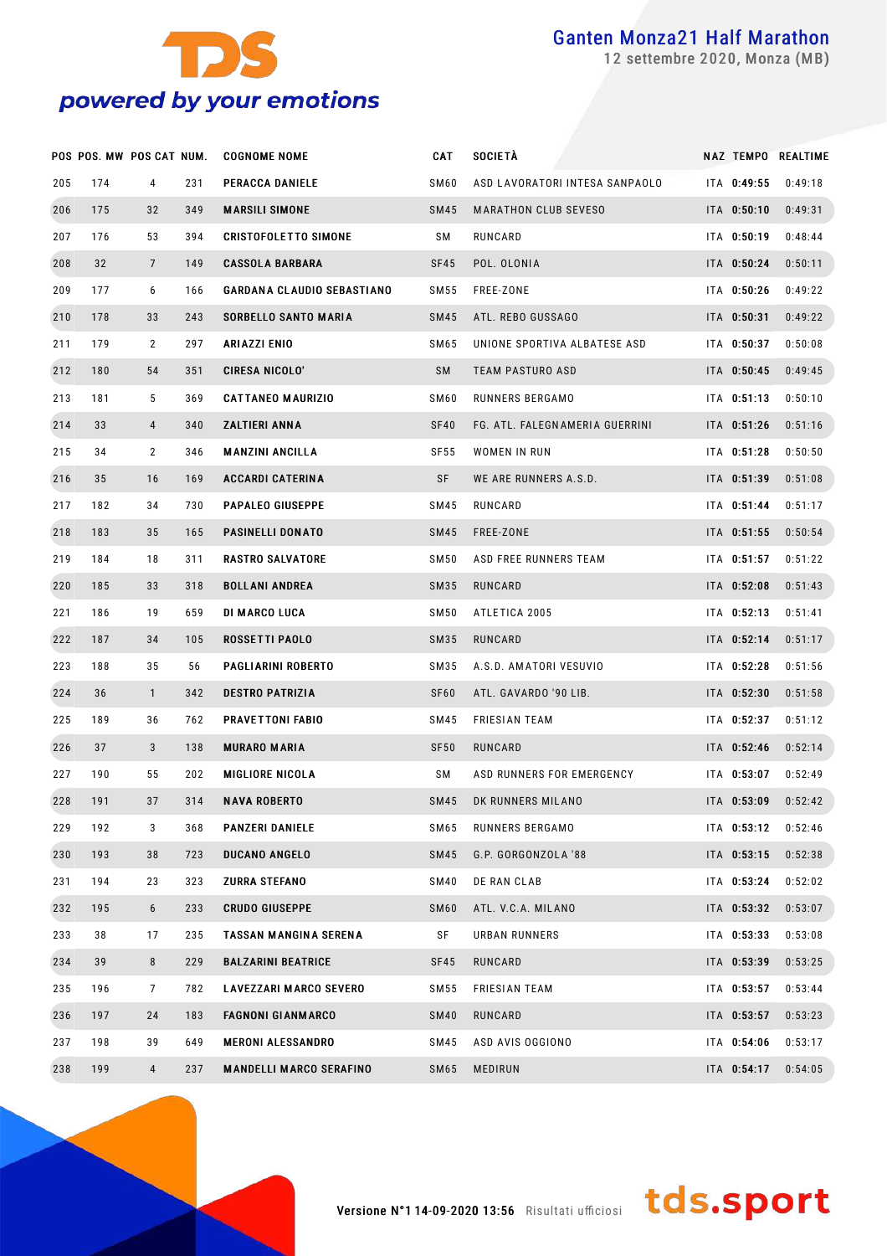

settembre 2020, Monza (MB)

|     | POS POS. MW POS CAT NUM. |                |     | <b>COGNOME NOME</b>               | CAT              | SOCIETÀ                        |             | NAZ TEMPO REALTIME |
|-----|--------------------------|----------------|-----|-----------------------------------|------------------|--------------------------------|-------------|--------------------|
| 205 | 174                      | 4              | 231 | PERACCA DANIELE                   | SM60             | ASD LAVORATORI INTESA SANPAOLO | ITA 0:49:55 | 0:49:18            |
| 206 | 175                      | 32             | 349 | <b>MARSILI SIMONE</b>             | <b>SM45</b>      | <b>MARATHON CLUB SEVESO</b>    | ITA 0:50:10 | 0:49:31            |
| 207 | 176                      | 53             | 394 | <b>CRISTOFOLETTO SIMONE</b>       | SΜ               | RUNCARD                        | ITA 0:50:19 | 0:48:44            |
| 208 | 32                       | $\overline{7}$ | 149 | <b>CASSOLA BARBARA</b>            | SF45             | POL. OLONIA                    | ITA 0:50:24 | 0:50:11            |
| 209 | 177                      | 6              | 166 | <b>GARDANA CLAUDIO SEBASTIANO</b> | SM 55            | FREE-ZONE                      | ITA 0:50:26 | 0:49:22            |
| 210 | 178                      | 33             | 243 | <b>SORBELLO SANTO MARIA</b>       | <b>SM45</b>      | ATL. REBO GUSSAGO              | ITA 0:50:31 | 0:49:22            |
| 211 | 179                      | 2              | 297 | ARIAZZI ENIO                      | SM65             | UNIONE SPORTIVA ALBATESE ASD   | ITA 0:50:37 | 0:50:08            |
| 212 | 180                      | 54             | 351 | CIRESA NICOLO'                    | SM               | <b>TEAM PASTURO ASD</b>        | ITA 0:50:45 | 0:49:45            |
| 213 | 181                      | 5              | 369 | <b>CATTANEO MAURIZIO</b>          | SM60             | RUNNERS BERGAMO                | ITA 0:51:13 | 0:50:10            |
| 214 | 33                       | 4              | 340 | ZALTIERI ANNA                     | SF40             | FG. ATL. FALEGNAMERIA GUERRINI | ITA 0:51:26 | 0:51:16            |
| 215 | 34                       | $\overline{2}$ | 346 | <b>MANZINI ANCILLA</b>            | SF <sub>55</sub> | WOMEN IN RUN                   | ITA 0:51:28 | 0:50:50            |
| 216 | 35                       | 16             | 169 | <b>ACCARDI CATERINA</b>           | SF               | WE ARE RUNNERS A.S.D.          | ITA 0:51:39 | 0:51:08            |
| 217 | 182                      | 34             | 730 | <b>PAPALEO GIUSEPPE</b>           | SM45             | RUNCARD                        | ITA 0:51:44 | 0:51:17            |
| 218 | 183                      | 35             | 165 | <b>PASINELLI DONATO</b>           | <b>SM45</b>      | FREE-ZONE                      | ITA 0:51:55 | 0:50:54            |
| 219 | 184                      | 18             | 311 | <b>RASTRO SALVATORE</b>           | SM <sub>50</sub> | ASD FREE RUNNERS TEAM          | ITA 0:51:57 | 0:51:22            |
| 220 | 185                      | 33             | 318 | <b>BOLLANI ANDREA</b>             | SM35             | RUNCARD                        | ITA 0:52:08 | 0:51:43            |
| 221 | 186                      | 19             | 659 | <b>DI MARCO LUCA</b>              | SM50             | ATLETICA 2005                  | ITA 0:52:13 | 0:51:41            |
| 222 | 187                      | 34             | 105 | ROSSETTI PAOLO                    | SM35             | RUNCARD                        | ITA 0:52:14 | 0:51:17            |
| 223 | 188                      | 35             | 56  | PAGLIARINI ROBERTO                | SM35             | A.S.D. AMATORI VESUVIO         | ITA 0:52:28 | 0:51:56            |
| 224 | 36                       | $\mathbf{1}$   | 342 | <b>DESTRO PATRIZIA</b>            | SF <sub>60</sub> | ATL. GAVARDO '90 LIB.          | ITA 0:52:30 | 0:51:58            |
| 225 | 189                      | 36             | 762 | <b>PRAVETTONI FABIO</b>           | SM45             | <b>FRIESIAN TEAM</b>           | ITA 0:52:37 | 0:51:12            |
| 226 | 37                       | 3              | 138 | <b>MURARO MARIA</b>               | <b>SF50</b>      | RUNCARD                        | ITA 0:52:46 | 0:52:14            |
| 227 | 190                      | 55             | 202 | <b>MIGLIORE NICOLA</b>            | SΜ               | ASD RUNNERS FOR EMERGENCY      | ITA 0:53:07 | 0:52:49            |
| 228 | 191                      | 37             | 314 | <b>NAVA ROBERTO</b>               | <b>SM45</b>      | DK RUNNERS MILANO              | ITA 0:53:09 | 0:52:42            |
| 229 | 192                      | 3              | 368 | <b>PANZERI DANIELE</b>            | SM65             | RUNNERS BERGAMO                | ITA 0:53:12 | 0:52:46            |
| 230 | 193                      | 38             | 723 | <b>DUCANO ANGELO</b>              | <b>SM45</b>      | G.P. GORGONZOLA '88            | ITA 0:53:15 | 0:52:38            |
| 231 | 194                      | 23             | 323 | ZURRA STEFANO                     | SM40             | DE RAN CLAB                    | ITA 0:53:24 | 0:52:02            |
| 232 | 195                      | 6              | 233 | <b>CRUDO GIUSEPPE</b>             | SM <sub>60</sub> | ATL. V.C.A. MILANO             | ITA 0:53:32 | 0:53:07            |
| 233 | 38                       | 17             | 235 | TASSAN MANGINA SERENA             | SF               | URBAN RUNNERS                  | ITA 0:53:33 | 0:53:08            |
| 234 | 39                       | 8              | 229 | <b>BALZARINI BEATRICE</b>         | SF45             | RUNCARD                        | ITA 0:53:39 | 0:53:25            |
| 235 | 196                      | $\overline{7}$ | 782 | LAVEZZARI MARCO SEVERO            | SM 55            | FRIESIAN TEAM                  | ITA 0:53:57 | 0:53:44            |
| 236 | 197                      | 24             | 183 | <b>FAGNONI GIANMARCO</b>          | <b>SM40</b>      | RUNCARD                        | ITA 0:53:57 | 0:53:23            |
| 237 | 198                      | 39             | 649 | <b>MERONI ALESSANDRO</b>          | SM45             | ASD AVIS OGGIONO               | ITA 0:54:06 | 0:53:17            |
| 238 | 199                      | $\overline{4}$ | 237 | <b>MANDELLI MARCO SERAFINO</b>    | SM65             | <b>MEDIRUN</b>                 | ITA 0:54:17 | 0:54:05            |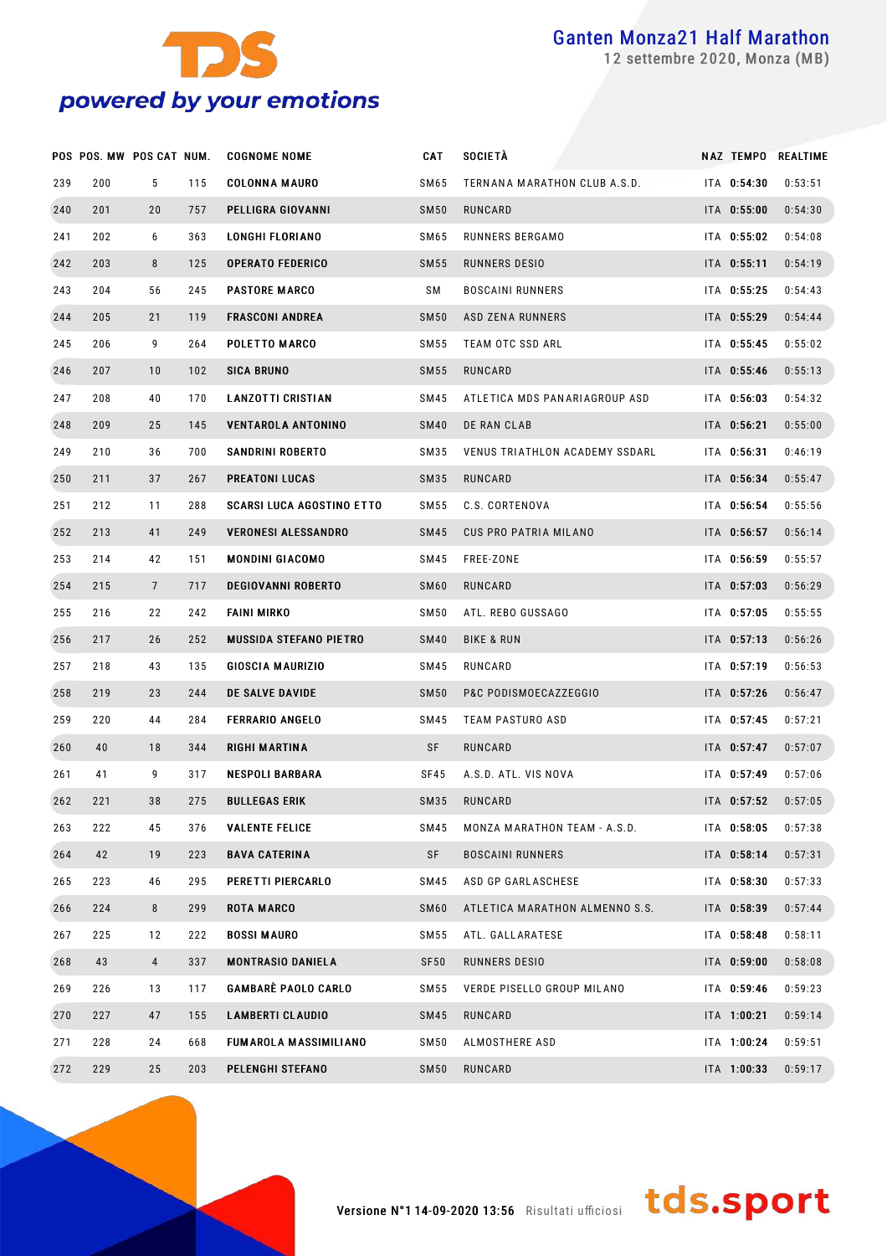

settembre 2020, Monza (MB)

|     | POS POS. MW POS CAT NUM. |                 |     | <b>COGNOME NOME</b>              | <b>CAT</b>       | <b>SOCIETÀ</b>                 | <b>NAZ TEMPO</b> | <b>REALTIME</b> |
|-----|--------------------------|-----------------|-----|----------------------------------|------------------|--------------------------------|------------------|-----------------|
| 239 | 200                      | 5               | 115 | <b>COLONNA MAURO</b>             | SM65             | TERNANA MARATHON CLUB A.S.D.   | ITA 0:54:30      | 0:53:51         |
| 240 | 201                      | 20              | 757 | PELLIGRA GIOVANNI                | <b>SM50</b>      | RUNCARD                        | ITA 0:55:00      | 0:54:30         |
| 241 | 202                      | 6               | 363 | <b>LONGHI FLORIANO</b>           | SM65             | RUNNERS BERGAMO                | ITA 0:55:02      | 0:54:08         |
| 242 | 203                      | 8               | 125 | <b>OPERATO FEDERICO</b>          | <b>SM55</b>      | RUNNERS DESIO                  | ITA 0:55:11      | 0:54:19         |
| 243 | 204                      | 56              | 245 | <b>PASTORE MARCO</b>             | SΜ               | <b>BOSCAINI RUNNERS</b>        | ITA 0:55:25      | 0:54:43         |
| 244 | 205                      | 21              | 119 | <b>FRASCONI ANDREA</b>           | <b>SM50</b>      | ASD ZENA RUNNERS               | ITA 0:55:29      | 0:54:44         |
| 245 | 206                      | 9               | 264 | POLETTO MARCO                    | SM 55            | TEAM OTC SSD ARL               | ITA 0:55:45      | 0:55:02         |
| 246 | 207                      | 10              | 102 | <b>SICA BRUNO</b>                | <b>SM55</b>      | RUNCARD                        | ITA 0:55:46      | 0:55:13         |
| 247 | 208                      | 40              | 170 | <b>LANZOTTI CRISTIAN</b>         | SM45             | ATLETICA MDS PANARIAGROUP ASD  | ITA 0:56:03      | 0:54:32         |
| 248 | 209                      | 25              | 145 | <b>VENTAROLA ANTONINO</b>        | <b>SM40</b>      | DE RAN CLAB                    | ITA 0:56:21      | 0:55:00         |
| 249 | 210                      | 36              | 700 | SANDRINI ROBERTO                 | SM35             | VENUS TRIATHLON ACADEMY SSDARL | ITA 0:56:31      | 0:46:19         |
| 250 | 211                      | 37              | 267 | PREATONI LUCAS                   | SM35             | RUNCARD                        | ITA 0:56:34      | 0:55:47         |
| 251 | 212                      | 11              | 288 | <b>SCARSI LUCA AGOSTINO ETTO</b> | SM 55            | C.S. CORTENOVA                 | ITA 0:56:54      | 0:55:56         |
| 252 | 213                      | 41              | 249 | <b>VERONESI ALESSANDRO</b>       | <b>SM45</b>      | <b>CUS PRO PATRIA MILANO</b>   | ITA 0:56:57      | 0:56:14         |
| 253 | 214                      | 42              | 151 | <b>MONDINI GIACOMO</b>           | SM45             | FREE-ZONE                      | ITA 0:56:59      | 0:55:57         |
| 254 | 215                      | $7\overline{ }$ | 717 | <b>DEGIOVANNI ROBERTO</b>        | SM <sub>60</sub> | RUNCARD                        | ITA 0:57:03      | 0:56:29         |
| 255 | 216                      | 22              | 242 | <b>FAINI MIRKO</b>               | SM50             | ATL. REBO GUSSAGO              | ITA 0:57:05      | 0:55:55         |
| 256 | 217                      | 26              | 252 | <b>MUSSIDA STEFANO PIETRO</b>    | <b>SM40</b>      | <b>BIKE &amp; RUN</b>          | ITA 0:57:13      | 0:56:26         |
| 257 | 218                      | 43              | 135 | <b>GIOSCIA MAURIZIO</b>          | SM45             | RUNCARD                        | ITA 0:57:19      | 0:56:53         |
| 258 | 219                      | 23              | 244 | DE SALVE DAVIDE                  | <b>SM50</b>      | P&C PODISMOECAZZEGGIO          | ITA 0:57:26      | 0:56:47         |
| 259 | 220                      | 44              | 284 | <b>FERRARIO ANGELO</b>           | SM45             | TEAM PASTURO ASD               | ITA 0:57:45      | 0:57:21         |
| 260 | 40                       | 18              | 344 | RIGHI MARTINA                    | SF               | RUNCARD                        | ITA 0:57:47      | 0:57:07         |
| 261 | 41                       | 9               | 317 | <b>NESPOLI BARBARA</b>           | SF45             | A.S.D. ATL. VIS NOVA           | ITA 0:57:49      | 0:57:06         |
| 262 | 221                      | 38              | 275 | <b>BULLEGAS ERIK</b>             | SM35             | <b>RUNCARD</b>                 | ITA 0:57:52      | 0:57:05         |
| 263 | 222                      | 45              | 376 | <b>VALENTE FELICE</b>            | <b>SM45</b>      | MONZA MARATHON TEAM - A.S.D.   | ITA 0:58:05      | 0:57:38         |
| 264 | 42                       | 19              | 223 | <b>BAVA CATERINA</b>             | SF               | <b>BOSCAINI RUNNERS</b>        | ITA 0:58:14      | 0:57:31         |
| 265 | 223                      | 46              | 295 | PERETTI PIERCARLO                | <b>SM45</b>      | ASD GP GARLASCHESE             | ITA 0:58:30      | 0:57:33         |
| 266 | 224                      | 8 <sup>2</sup>  | 299 | <b>ROTA MARCO</b>                | SM <sub>60</sub> | ATLETICA MARATHON ALMENNO S.S. | ITA 0:58:39      | 0:57:44         |
| 267 | 225                      | 12              | 222 | <b>BOSSI MAURO</b>               | SM 55            | ATL. GALLARATESE               | ITA 0:58:48      | 0:58:11         |
| 268 | 43                       | $\overline{4}$  | 337 | <b>MONTRASIO DANIELA</b>         | SF <sub>50</sub> | RUNNERS DESIO                  | ITA 0:59:00      | 0:58:08         |
| 269 | 226                      | 13              | 117 | <b>GAMBARÈ PAOLO CARLO</b>       | SM 55            | VERDE PISELLO GROUP MILANO     | ITA 0:59:46      | 0:59:23         |
| 270 | 227                      | 47              | 155 | <b>LAMBERTI CLAUDIO</b>          | <b>SM45</b>      | RUNCARD                        | ITA 1:00:21      | 0:59:14         |
| 271 | 228                      | 24              | 668 | FUMAROLA MASSIMILIANO            | <b>SM50</b>      | ALMOSTHERE ASD                 | ITA 1:00:24      | 0:59:51         |
| 272 | 229                      | 25              | 203 | PELENGHI STEFANO                 | <b>SM50</b>      | RUNCARD                        | ITA 1:00:33      | 0:59:17         |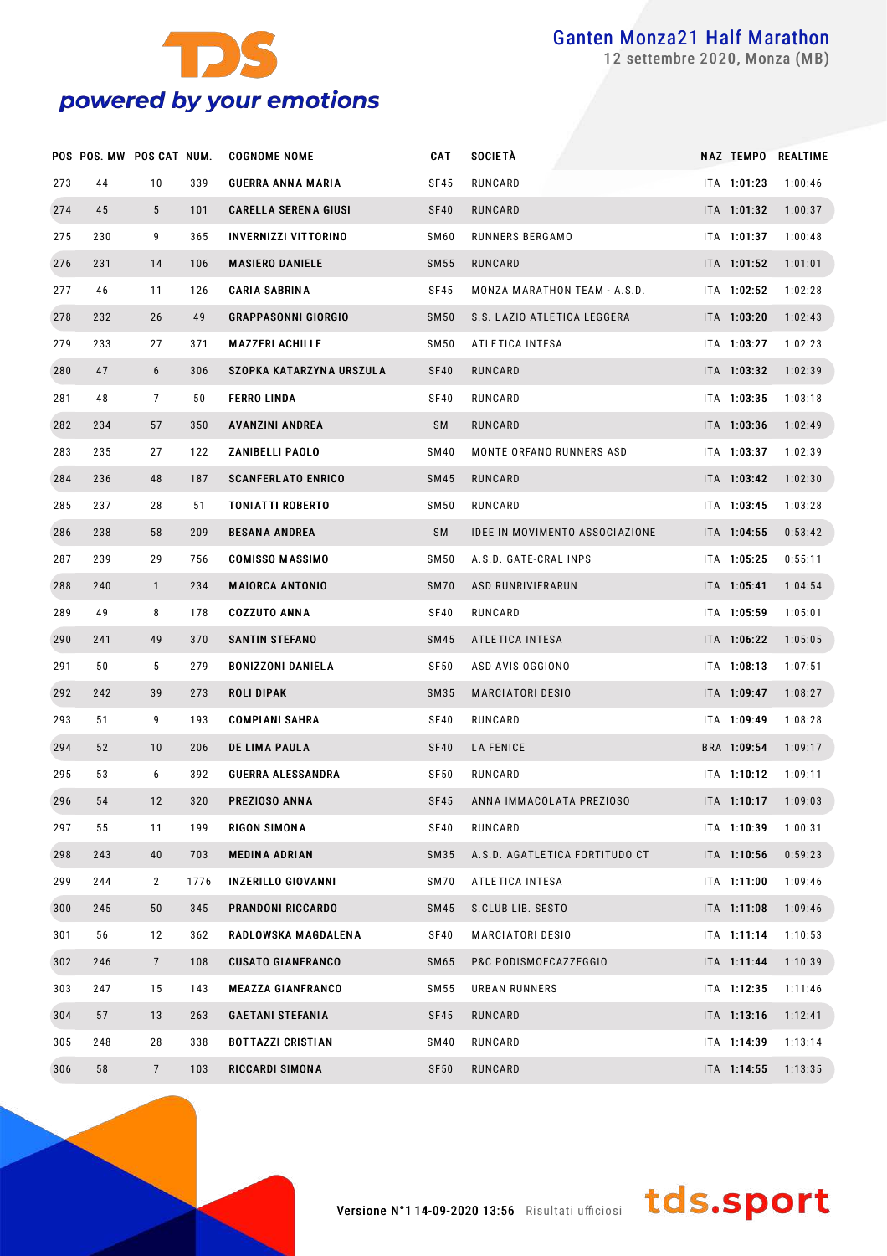

settembre 2020, Monza (MB)

|     | POS POS. MW POS CAT NUM. |                 |      | <b>COGNOME NOME</b>         | CAT              | <b>SOCIETÀ</b>                        |             | NAZ TEMPO REALTIME |
|-----|--------------------------|-----------------|------|-----------------------------|------------------|---------------------------------------|-------------|--------------------|
| 273 | 44                       | 10              | 339  | <b>GUERRA ANNA MARIA</b>    | <b>SF45</b>      | RUNCARD                               | ITA 1:01:23 | 1:00:46            |
| 274 | 45                       | $5\overline{)}$ | 101  | <b>CARELLA SERENA GIUSI</b> | SF40             | RUNCARD                               | ITA 1:01:32 | 1:00:37            |
| 275 | 230                      | 9               | 365  | <b>INVERNIZZI VITTORINO</b> | SM60             | RUNNERS BERGAMO                       | ITA 1:01:37 | 1:00:48            |
| 276 | 231                      | 14              | 106  | <b>MASIERO DANIELE</b>      | SM55             | RUNCARD                               | ITA 1:01:52 | 1:01:01            |
| 277 | 46                       | 11              | 126  | <b>CARIA SABRINA</b>        | SF45             | MONZA MARATHON TEAM - A.S.D.          | ITA 1:02:52 | 1:02:28            |
| 278 | 232                      | 26              | 49   | <b>GRAPPASONNI GIORGIO</b>  | SM <sub>50</sub> | S.S. LAZIO ATLETICA LEGGERA           | ITA 1:03:20 | 1:02:43            |
| 279 | 233                      | 27              | 371  | <b>MAZZERI ACHILLE</b>      | SM50             | ATLETICA INTESA                       | ITA 1:03:27 | 1:02:23            |
| 280 | 47                       | 6               | 306  | SZOPKA KATARZYNA URSZULA    | SF40             | RUNCARD                               | ITA 1:03:32 | 1:02:39            |
| 281 | 48                       | $\overline{7}$  | 50   | <b>FERRO LINDA</b>          | SF40             | RUNCARD                               | ITA 1:03:35 | 1:03:18            |
| 282 | 234                      | 57              | 350  | <b>AVANZINI ANDREA</b>      | SM               | RUNCARD                               | ITA 1:03:36 | 1:02:49            |
| 283 | 235                      | 27              | 122  | <b>ZANIBELLI PAOLO</b>      | SM40             | MONTE ORFANO RUNNERS ASD              | ITA 1:03:37 | 1:02:39            |
| 284 | 236                      | 48              | 187  | <b>SCANFERLATO ENRICO</b>   | SM45             | RUNCARD                               | ITA 1:03:42 | 1:02:30            |
| 285 | 237                      | 28              | 51   | <b>TONIATTI ROBERTO</b>     | <b>SM50</b>      | RUNCARD                               | ITA 1:03:45 | 1:03:28            |
| 286 | 238                      | 58              | 209  | <b>BESANA ANDREA</b>        | SM               | <b>IDEE IN MOVIMENTO ASSOCIAZIONE</b> | ITA 1:04:55 | 0:53:42            |
| 287 | 239                      | 29              | 756  | <b>COMISSO MASSIMO</b>      | SM50             | A.S.D. GATE-CRAL INPS                 | ITA 1:05:25 | 0:55:11            |
| 288 | 240                      | $\mathbf{1}$    | 234  | <b>MAIORCA ANTONIO</b>      | SM70             | <b>ASD RUNRIVIERARUN</b>              | ITA 1:05:41 | 1:04:54            |
| 289 | 49                       | 8               | 178  | <b>COZZUTO ANNA</b>         | SF40             | RUNCARD                               | ITA 1:05:59 | 1:05:01            |
| 290 | 241                      | 49              | 370  | <b>SANTIN STEFANO</b>       | SM45             | ATLETICA INTESA                       | ITA 1:06:22 | 1:05:05            |
| 291 | 50                       | 5               | 279  | <b>BONIZZONI DANIELA</b>    | SF50             | ASD AVIS OGGIONO                      | ITA 1:08:13 | 1:07:51            |
| 292 | 242                      | 39              | 273  | <b>ROLI DIPAK</b>           | SM35             | <b>MARCIATORI DESIO</b>               | ITA 1:09:47 | 1:08:27            |
| 293 | 51                       | 9               | 193  | <b>COMPIANI SAHRA</b>       | SF40             | RUNCARD                               | ITA 1:09:49 | 1:08:28            |
| 294 | 52                       | 10              | 206  | DE LIMA PAULA               | SF40             | <b>LA FENICE</b>                      | BRA 1:09:54 | 1:09:17            |
| 295 | 53                       | 6               | 392  | <b>GUERRA ALESSANDRA</b>    | SF <sub>50</sub> | RUNCARD                               | ITA 1:10:12 | 1:09:11            |
| 296 | 54                       | 12              | 320  | PREZIOSO ANNA               | SF45             | ANNA IMMACOLATA PREZIOSO              | ITA 1:10:17 | 1:09:03            |
| 297 | 55                       | 11              | 199  | <b>RIGON SIMONA</b>         | SF40             | RUNCARD                               | ITA 1:10:39 | 1:00:31            |
| 298 | 243                      | 40              | 703  | <b>MEDINA ADRIAN</b>        | SM35             | A.S.D. AGATLETICA FORTITUDO CT        | ITA 1:10:56 | 0:59:23            |
| 299 | 244                      | $\mathbf{2}$    | 1776 | <b>INZERILLO GIOVANNI</b>   | SM70             | ATLETICA INTESA                       | ITA 1:11:00 | 1:09:46            |
| 300 | 245                      | 50              | 345  | <b>PRANDONI RICCARDO</b>    | <b>SM45</b>      | S.CLUB LIB. SESTO                     | ITA 1:11:08 | 1:09:46            |
| 301 | 56                       | 12              | 362  | RADLOWSKA MAGDALENA         | SF40             | <b>MARCIATORI DESIO</b>               | ITA 1:11:14 | 1:10:53            |
| 302 | 246                      | $7\overline{ }$ | 108  | <b>CUSATO GIANFRANCO</b>    | SM65             | P&C PODISMOECAZZEGGIO                 | ITA 1:11:44 | 1:10:39            |
| 303 | 247                      | 15              | 143  | <b>MEAZZA GIANFRANCO</b>    | SM55             | <b>URBAN RUNNERS</b>                  | ITA 1:12:35 | 1:11:46            |
| 304 | 57                       | 13              | 263  | <b>GAETANI STEFANIA</b>     | SF45             | RUNCARD                               | ITA 1:13:16 | 1:12:41            |
| 305 | 248                      | 28              | 338  | <b>BOTTAZZI CRISTIAN</b>    | SM40             | RUNCARD                               | ITA 1:14:39 | 1:13:14            |
| 306 | 58                       | $7\overline{ }$ | 103  | RICCARDI SIMONA             | SF <sub>50</sub> | RUNCARD                               | ITA 1:14:55 | 1:13:35            |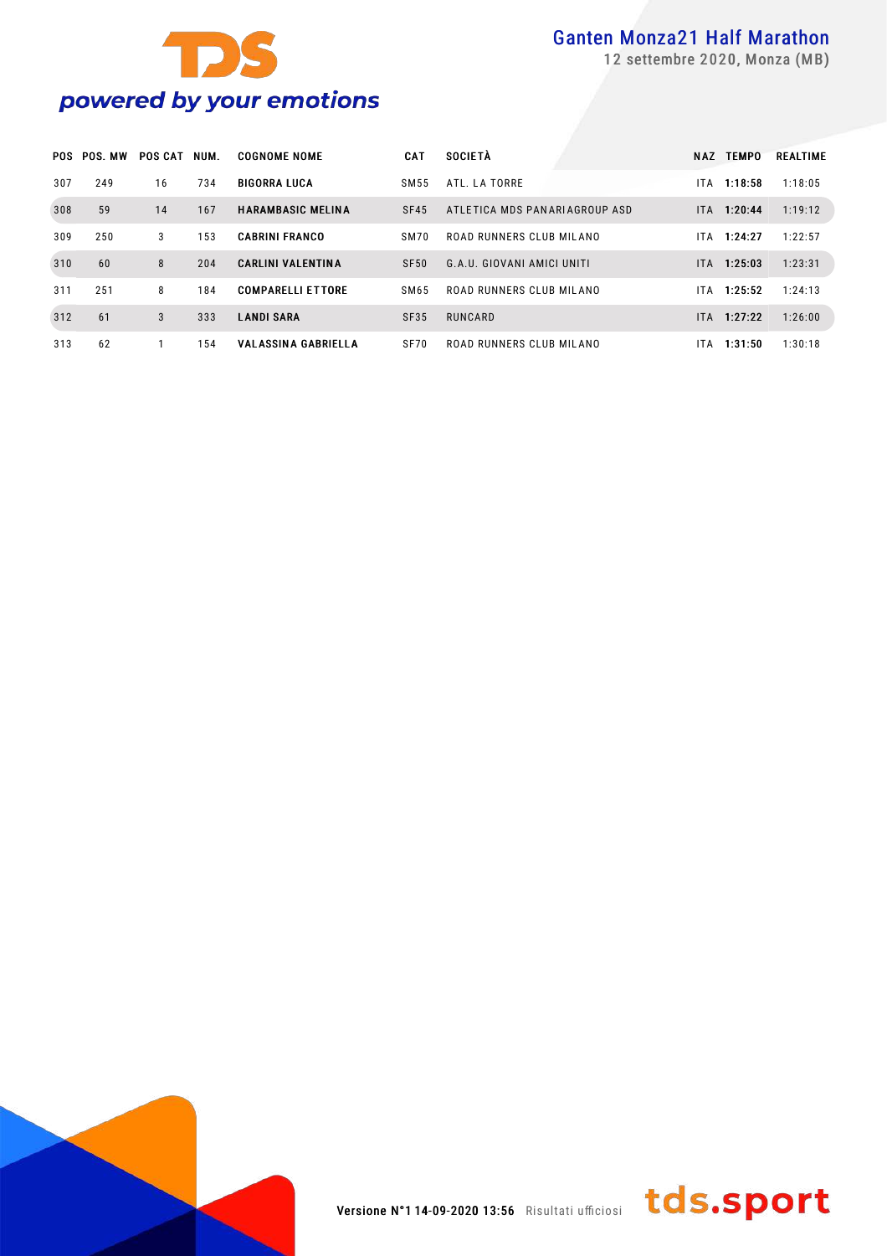



settembre 2020, Monza (MB)

|     | <b>POS POS MW</b> | <b>POS CAT</b> | NUM. | <b>COGNOME NOME</b>        | <b>CAT</b>  | <b>SOCIETÀ</b>                | NAZ  | <b>TEMPO</b>  | <b>REALTIME</b> |
|-----|-------------------|----------------|------|----------------------------|-------------|-------------------------------|------|---------------|-----------------|
| 307 | 249               | 16             | 734  | <b>BIGORRA LUCA</b>        | SM55        | ATL. LA TORRE                 | ITA. | 1:18:58       | 1:18:05         |
| 308 | 59                | 14             | 167  | <b>HARAMBASIC MELINA</b>   | SF45        | ATLETICA MDS PANARIAGROUP ASD |      | ITA 1:20:44   | 1:19:12         |
| 309 | 250               | 3              | 153  | <b>CABRINI FRANCO</b>      | SM70        | ROAD RUNNERS CLUB MILANO      | ITA. | 1:24:27       | 1:22:57         |
| 310 | 60                | 8              | 204  | <b>CARLINI VALENTINA</b>   | SF50        | G.A.U. GIOVANI AMICI UNITI    |      | ITA 1:25:03   | 1:23:31         |
| 311 | 251               | 8              | 184  | <b>COMPARELLI ETTORE</b>   | SM65        | ROAD RUNNERS CLUB MILANO      | ITA. | 1:25:52       | 1:24:13         |
| 312 | 61                | 3              | 333  | <b>LANDI SARA</b>          | <b>SF35</b> | RUNCARD                       |      | $ITA$ 1:27:22 | 1:26:00         |
| 313 | 62                |                | 154  | <b>VALASSINA GABRIELLA</b> | <b>SF70</b> | ROAD RUNNERS CLUB MILANO      | IT A | 1:31:50       | 1:30:18         |



tds.sport Versione N°114-09-2020 13:56 Risultati ufficiosi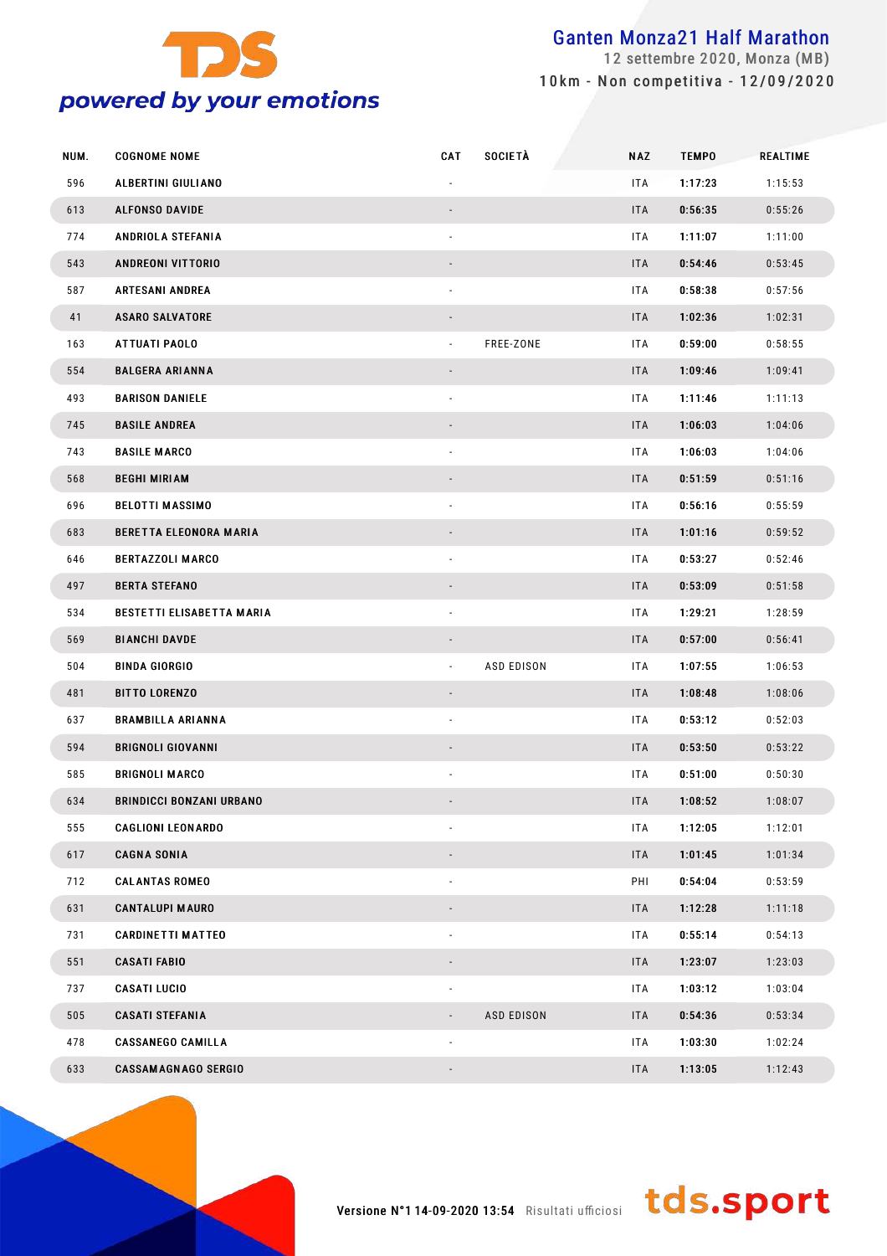

 settembre 2020, Monza (MB) 10km - Non competitiva - 12/09/2020

| NUM. | <b>COGNOME NOME</b>              | <b>CAT</b>               | <b>SOCIETÀ</b>    | <b>NAZ</b> | <b>TEMPO</b> | <b>REALTIME</b> |
|------|----------------------------------|--------------------------|-------------------|------------|--------------|-----------------|
| 596  | ALBERTINI GIULIANO               |                          |                   | ITA        | 1:17:23      | 1:15:53         |
| 613  | <b>ALFONSO DAVIDE</b>            |                          |                   | <b>ITA</b> | 0:56:35      | 0:55:26         |
| 774  | ANDRIOLA STEFANIA                |                          |                   | ITA        | 1:11:07      | 1:11:00         |
| 543  | <b>ANDREONI VITTORIO</b>         |                          |                   | <b>ITA</b> | 0:54:46      | 0:53:45         |
| 587  | <b>ARTESANI ANDREA</b>           |                          |                   | ITA        | 0:58:38      | 0:57:56         |
| 41   | <b>ASARO SALVATORE</b>           |                          |                   | <b>ITA</b> | 1:02:36      | 1:02:31         |
| 163  | ATTUATI PAOLO                    | ÷.                       | FREE-ZONE         | ITA        | 0:59:00      | 0:58:55         |
| 554  | <b>BALGERA ARIANNA</b>           |                          |                   | <b>ITA</b> | 1:09:46      | 1:09:41         |
| 493  | <b>BARISON DANIELE</b>           |                          |                   | ITA        | 1:11:46      | 1:11:13         |
| 745  | <b>BASILE ANDREA</b>             |                          |                   | <b>ITA</b> | 1:06:03      | 1:04:06         |
| 743  | <b>BASILE MARCO</b>              |                          |                   | ITA        | 1:06:03      | 1:04:06         |
| 568  | <b>BEGHI MIRIAM</b>              |                          |                   | <b>ITA</b> | 0:51:59      | 0:51:16         |
| 696  | <b>BELOTTI MASSIMO</b>           |                          |                   | ITA        | 0:56:16      | 0:55:59         |
| 683  | BERETTA ELEONORA MARIA           |                          |                   | <b>ITA</b> | 1:01:16      | 0:59:52         |
| 646  | <b>BERTAZZOLI MARCO</b>          |                          |                   | ITA        | 0:53:27      | 0:52:46         |
| 497  | <b>BERTA STEFANO</b>             |                          |                   | <b>ITA</b> | 0:53:09      | 0:51:58         |
| 534  | <b>BESTETTI ELISABETTA MARIA</b> |                          |                   | ITA        | 1:29:21      | 1:28:59         |
| 569  | <b>BIANCHI DAVDE</b>             |                          |                   | <b>ITA</b> | 0:57:00      | 0:56:41         |
| 504  | <b>BINDA GIORGIO</b>             | $\blacksquare$           | <b>ASD EDISON</b> | ITA        | 1:07:55      | 1:06:53         |
| 481  | <b>BITTO LORENZO</b>             |                          |                   | <b>ITA</b> | 1:08:48      | 1:08:06         |
| 637  | <b>BRAMBILLA ARIANNA</b>         |                          |                   | ITA        | 0:53:12      | 0:52:03         |
| 594  | <b>BRIGNOLI GIOVANNI</b>         |                          |                   | <b>ITA</b> | 0:53:50      | 0:53:22         |
| 585  | <b>BRIGNOLI MARCO</b>            |                          |                   | ITA.       | 0:51:00      | 0:50:30         |
| 634  | <b>BRINDICCI BONZANI URBANO</b>  |                          |                   | <b>ITA</b> | 1:08:52      | 1:08:07         |
| 555  | <b>CAGLIONI LEONARDO</b>         |                          |                   | ITA        | 1:12:05      | 1:12:01         |
| 617  | <b>CAGNA SONIA</b>               |                          |                   | <b>ITA</b> | 1:01:45      | 1:01:34         |
| 712  | <b>CALANTAS ROMEO</b>            | ٠                        |                   | PHI        | 0:54:04      | 0:53:59         |
| 631  | <b>CANTALUPI MAURO</b>           |                          |                   | <b>ITA</b> | 1:12:28      | 1:11:18         |
| 731  | <b>CARDINETTI MATTEO</b>         | ٠                        |                   | ITA        | 0:55:14      | 0:54:13         |
| 551  | <b>CASATI FABIO</b>              |                          |                   | <b>ITA</b> | 1:23:07      | 1:23:03         |
| 737  | <b>CASATI LUCIO</b>              | ۰                        |                   | ITA        | 1:03:12      | 1:03:04         |
| 505  | <b>CASATI STEFANIA</b>           | $\overline{\phantom{a}}$ | <b>ASD EDISON</b> | <b>ITA</b> | 0:54:36      | 0:53:34         |
| 478  | <b>CASSANEGO CAMILLA</b>         | ۰                        |                   | <b>ITA</b> | 1:03:30      | 1:02:24         |
| 633  | <b>CASSAMAGNAGO SERGIO</b>       |                          |                   | <b>ITA</b> | 1:13:05      | 1:12:43         |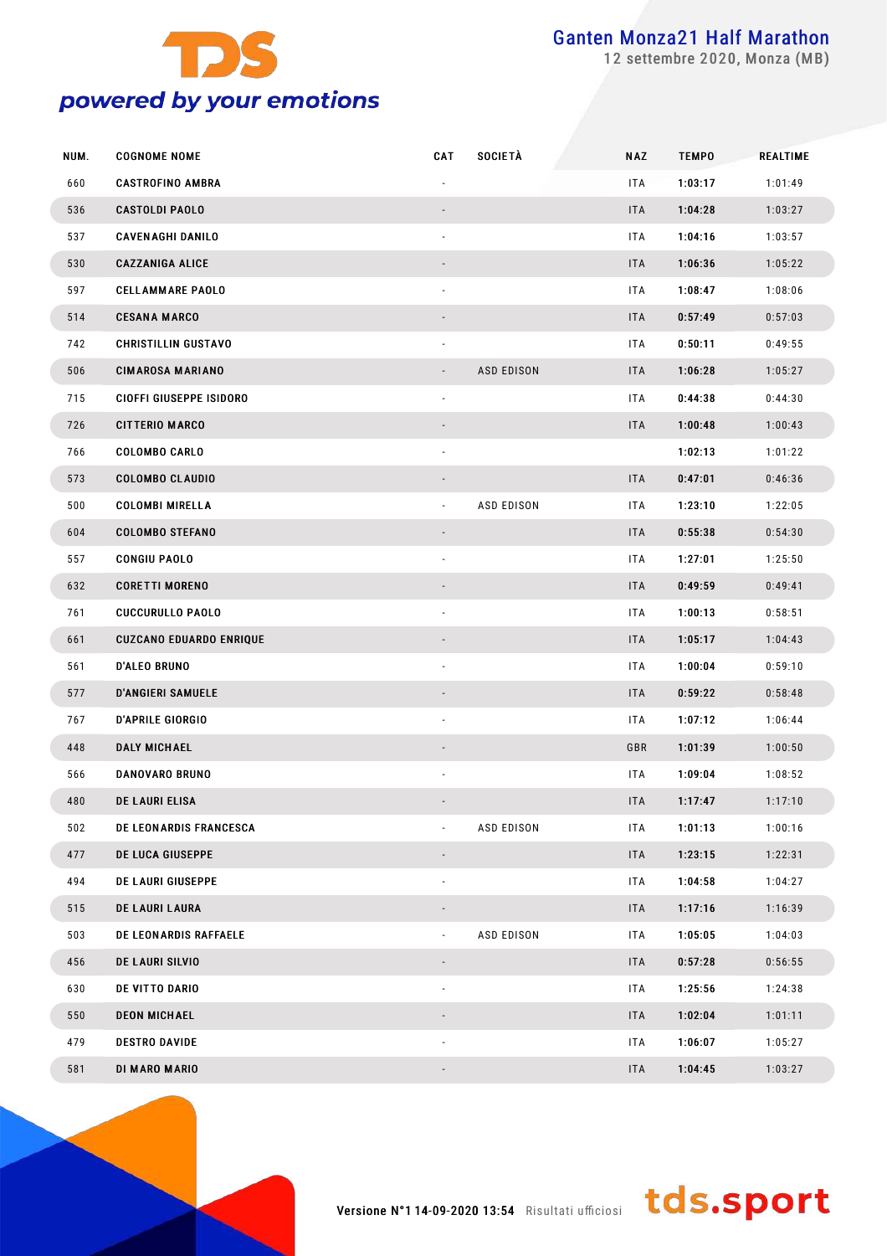

settembre 2020, Monza (MB)

| NUM. | <b>COGNOME NOME</b>            | <b>CAT</b>               | <b>SOCIETÀ</b>    | <b>NAZ</b> | <b>TEMPO</b> | REALTIME |
|------|--------------------------------|--------------------------|-------------------|------------|--------------|----------|
| 660  | <b>CASTROFINO AMBRA</b>        |                          |                   | ITA        | 1:03:17      | 1:01:49  |
| 536  | <b>CASTOLDI PAOLO</b>          |                          |                   | <b>ITA</b> | 1:04:28      | 1:03:27  |
| 537  | <b>CAVENAGHI DANILO</b>        | $\overline{\phantom{a}}$ |                   | ITA        | 1:04:16      | 1:03:57  |
| 530  | <b>CAZZANIGA ALICE</b>         |                          |                   | <b>ITA</b> | 1:06:36      | 1:05:22  |
| 597  | <b>CELLAMMARE PAOLO</b>        | $\blacksquare$           |                   | ITA        | 1:08:47      | 1:08:06  |
| 514  | <b>CESANA MARCO</b>            |                          |                   | <b>ITA</b> | 0:57:49      | 0:57:03  |
| 742  | <b>CHRISTILLIN GUSTAVO</b>     | $\overline{\phantom{a}}$ |                   | ITA        | 0:50:11      | 0:49:55  |
| 506  | <b>CIMAROSA MARIANO</b>        |                          | <b>ASD EDISON</b> | <b>ITA</b> | 1:06:28      | 1:05:27  |
| 715  | CIOFFI GIUSEPPE ISIDORO        | $\overline{\phantom{a}}$ |                   | ITA        | 0:44:38      | 0:44:30  |
| 726  | <b>CITTERIO MARCO</b>          |                          |                   | <b>ITA</b> | 1:00:48      | 1:00:43  |
| 766  | <b>COLOMBO CARLO</b>           | $\overline{\phantom{a}}$ |                   |            | 1:02:13      | 1:01:22  |
| 573  | <b>COLOMBO CLAUDIO</b>         |                          |                   | <b>ITA</b> | 0:47:01      | 0:46:36  |
| 500  | <b>COLOMBI MIRELLA</b>         | $\blacksquare$           | <b>ASD EDISON</b> | ITA        | 1:23:10      | 1:22:05  |
| 604  | <b>COLOMBO STEFANO</b>         |                          |                   | <b>ITA</b> | 0:55:38      | 0:54:30  |
| 557  | <b>CONGIU PAOLO</b>            | $\overline{\phantom{a}}$ |                   | ITA        | 1:27:01      | 1:25:50  |
| 632  | <b>CORETTI MORENO</b>          |                          |                   | <b>ITA</b> | 0:49:59      | 0:49:41  |
| 761  | <b>CUCCURULLO PAOLO</b>        | $\blacksquare$           |                   | ITA        | 1:00:13      | 0:58:51  |
| 661  | <b>CUZCANO EDUARDO ENRIQUE</b> |                          |                   | <b>ITA</b> | 1:05:17      | 1:04:43  |
| 561  | <b>D'ALEO BRUNO</b>            | $\overline{\phantom{a}}$ |                   | ITA        | 1:00:04      | 0:59:10  |
| 577  | <b>D'ANGIERI SAMUELE</b>       |                          |                   | <b>ITA</b> | 0:59:22      | 0:58:48  |
| 767  | <b>D'APRILE GIORGIO</b>        | ä,                       |                   | ITA        | 1:07:12      | 1:06:44  |
| 448  | <b>DALY MICHAEL</b>            |                          |                   | GBR        | 1:01:39      | 1:00:50  |
| 566  | <b>DANOVARO BRUNO</b>          |                          |                   | ITA        | 1:09:04      | 1:08:52  |
| 480  | <b>DE LAURI ELISA</b>          |                          |                   | <b>ITA</b> | 1:17:47      | 1:17:10  |
| 502  | <b>DE LEONARDIS FRANCESCA</b>  |                          | <b>ASD EDISON</b> | ITA        | 1:01:13      | 1:00:16  |
| 477  | DE LUCA GIUSEPPE               |                          |                   | <b>ITA</b> | 1:23:15      | 1:22:31  |
| 494  | DE LAURI GIUSEPPE              | $\blacksquare$           |                   | ITA        | 1:04:58      | 1:04:27  |
| 515  | DE LAURI LAURA                 |                          |                   | <b>ITA</b> | 1:17:16      | 1:16:39  |
| 503  | DE LEONARDIS RAFFAELE          | $\overline{\phantom{a}}$ | <b>ASD EDISON</b> | ITA        | 1:05:05      | 1:04:03  |
| 456  | DE LAURI SILVIO                |                          |                   | <b>ITA</b> | 0:57:28      | 0:56:55  |
| 630  | DE VITTO DARIO                 | $\overline{\phantom{a}}$ |                   | ITA        | 1:25:56      | 1:24:38  |
| 550  | <b>DEON MICHAEL</b>            |                          |                   | <b>ITA</b> | 1:02:04      | 1:01:11  |
| 479  | <b>DESTRO DAVIDE</b>           | $\overline{\phantom{a}}$ |                   | ITA        | 1:06:07      | 1:05:27  |
| 581  | DI MARO MARIO                  |                          |                   | <b>ITA</b> | 1:04:45      | 1:03:27  |

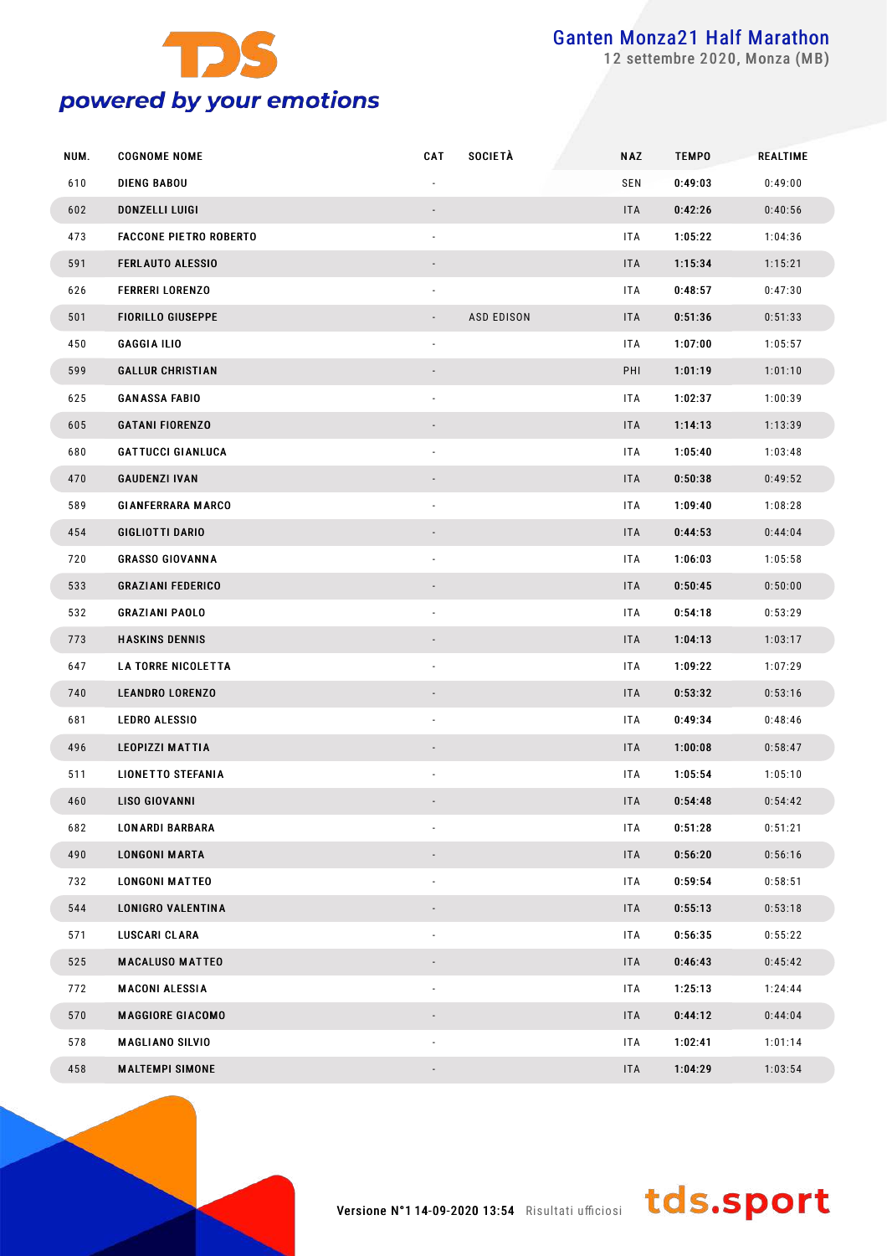

settembre 2020, Monza (MB)

| NUM. | <b>COGNOME NOME</b>           | <b>CAT</b>               | <b>SOCIETÀ</b>    | <b>NAZ</b> | <b>TEMPO</b> | <b>REALTIME</b> |
|------|-------------------------------|--------------------------|-------------------|------------|--------------|-----------------|
| 610  | <b>DIENG BABOU</b>            |                          |                   | SEN        | 0:49:03      | 0:49:00         |
| 602  | DONZELLI LUIGI                |                          |                   | <b>ITA</b> | 0:42:26      | 0:40:56         |
| 473  | <b>FACCONE PIETRO ROBERTO</b> | $\overline{\phantom{a}}$ |                   | ITA        | 1:05:22      | 1:04:36         |
| 591  | <b>FERLAUTO ALESSIO</b>       |                          |                   | <b>ITA</b> | 1:15:34      | 1:15:21         |
| 626  | <b>FERRERI LORENZO</b>        | $\overline{\phantom{a}}$ |                   | ITA        | 0:48:57      | 0:47:30         |
| 501  | <b>FIORILLO GIUSEPPE</b>      | $\overline{\phantom{a}}$ | <b>ASD EDISON</b> | <b>ITA</b> | 0:51:36      | 0:51:33         |
| 450  | <b>GAGGIA ILIO</b>            | $\overline{\phantom{a}}$ |                   | ITA        | 1:07:00      | 1:05:57         |
| 599  | <b>GALLUR CHRISTIAN</b>       |                          |                   | PHI        | 1:01:19      | 1:01:10         |
| 625  | <b>GANASSA FABIO</b>          | $\blacksquare$           |                   | ITA        | 1:02:37      | 1:00:39         |
| 605  | <b>GATANI FIORENZO</b>        |                          |                   | <b>ITA</b> | 1:14:13      | 1:13:39         |
| 680  | <b>GATTUCCI GIANLUCA</b>      | $\blacksquare$           |                   | ITA        | 1:05:40      | 1:03:48         |
| 470  | <b>GAUDENZI IVAN</b>          |                          |                   | <b>ITA</b> | 0:50:38      | 0:49:52         |
| 589  | <b>GIANFERRARA MARCO</b>      | $\overline{\phantom{a}}$ |                   | ITA        | 1:09:40      | 1:08:28         |
| 454  | <b>GIGLIOTTI DARIO</b>        |                          |                   | <b>ITA</b> | 0:44:53      | 0:44:04         |
| 720  | <b>GRASSO GIOVANNA</b>        | $\overline{\phantom{a}}$ |                   | ITA        | 1:06:03      | 1:05:58         |
| 533  | <b>GRAZIANI FEDERICO</b>      |                          |                   | <b>ITA</b> | 0:50:45      | 0:50:00         |
| 532  | <b>GRAZIANI PAOLO</b>         | $\overline{\phantom{a}}$ |                   | ITA        | 0:54:18      | 0:53:29         |
| 773  | <b>HASKINS DENNIS</b>         |                          |                   | <b>ITA</b> | 1:04:13      | 1:03:17         |
| 647  | <b>LA TORRE NICOLETTA</b>     | $\overline{\phantom{a}}$ |                   | ITA        | 1:09:22      | 1:07:29         |
| 740  | <b>LEANDRO LORENZO</b>        |                          |                   | <b>ITA</b> | 0:53:32      | 0:53:16         |
| 681  | <b>LEDRO ALESSIO</b>          | $\overline{\phantom{a}}$ |                   | ITA        | 0:49:34      | 0:48:46         |
| 496  | <b>LEOPIZZI MATTIA</b>        |                          |                   | <b>ITA</b> | 1:00:08      | 0:58:47         |
| 511  | <b>LIONETTO STEFANIA</b>      |                          |                   | ITA        | 1:05:54      | 1:05:10         |
| 460  | LISO GIOVANNI                 |                          |                   | <b>ITA</b> | 0:54:48      | 0:54:42         |
| 682  | <b>LONARDI BARBARA</b>        |                          |                   | <b>ITA</b> | 0:51:28      | 0:51:21         |
| 490  | <b>LONGONI MARTA</b>          |                          |                   | <b>ITA</b> | 0:56:20      | 0:56:16         |
| 732  | <b>LONGONI MATTEO</b>         |                          |                   | <b>ITA</b> | 0:59:54      | 0:58:51         |
| 544  | LONIGRO VALENTINA             |                          |                   | <b>ITA</b> | 0:55:13      | 0:53:18         |
| 571  | LUSCARI CLARA                 |                          |                   | <b>ITA</b> | 0:56:35      | 0:55:22         |
| 525  | <b>MACALUSO MATTEO</b>        |                          |                   | <b>ITA</b> | 0:46:43      | 0:45:42         |
| 772  | <b>MACONI ALESSIA</b>         |                          |                   | <b>ITA</b> | 1:25:13      | 1:24:44         |
| 570  | <b>MAGGIORE GIACOMO</b>       |                          |                   | <b>ITA</b> | 0:44:12      | 0:44:04         |
| 578  | <b>MAGLIANO SILVIO</b>        | $\blacksquare$           |                   | <b>ITA</b> | 1:02:41      | 1:01:14         |
| 458  | <b>MALTEMPI SIMONE</b>        |                          |                   | <b>ITA</b> | 1:04:29      | 1:03:54         |

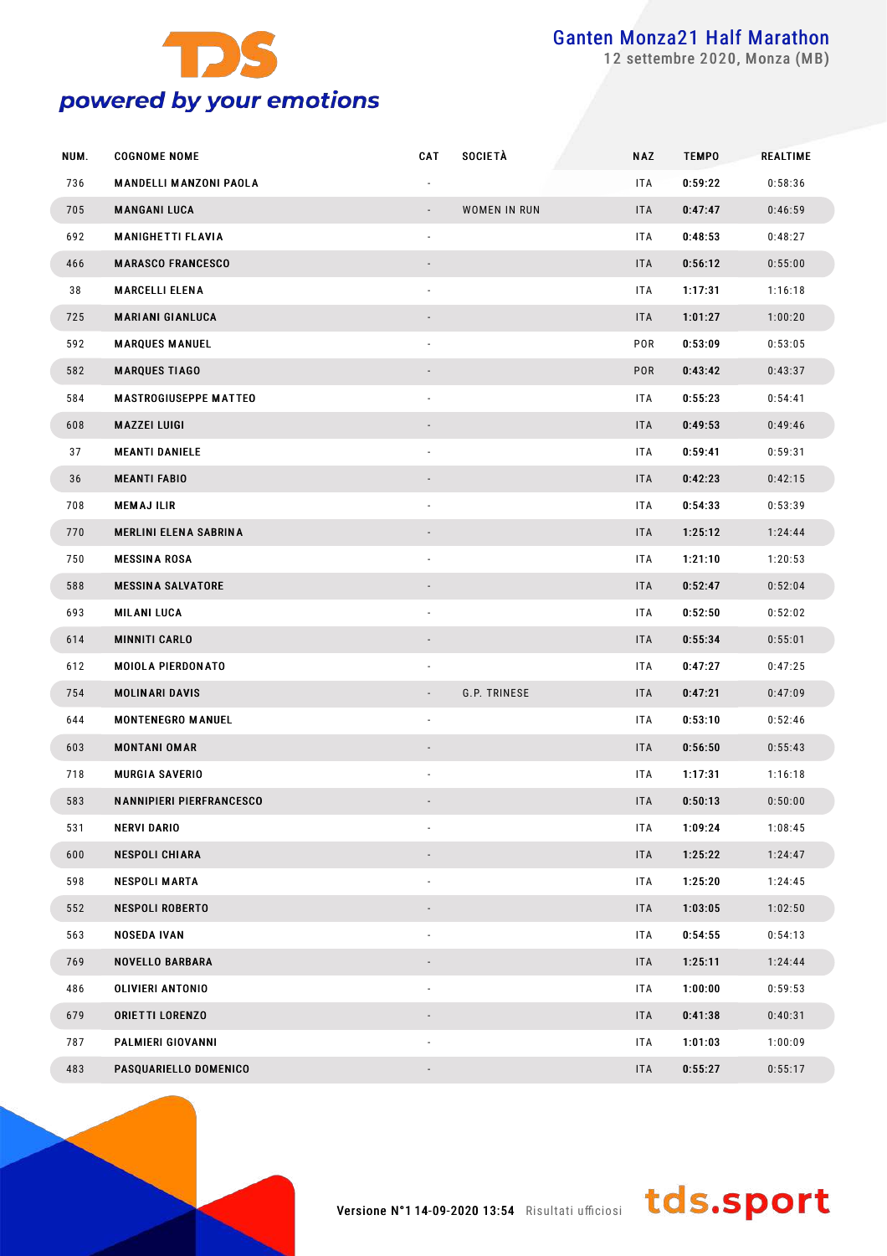

settembre 2020, Monza (MB)

| NUM. | <b>COGNOME NOME</b>             | CAT                      | <b>SOCIETÀ</b> | <b>NAZ</b> | <b>TEMPO</b> | <b>REALTIME</b> |
|------|---------------------------------|--------------------------|----------------|------------|--------------|-----------------|
| 736  | <b>MANDELLI MANZONI PAOLA</b>   |                          |                | ITA        | 0:59:22      | 0:58:36         |
| 705  | <b>MANGANI LUCA</b>             |                          | WOMEN IN RUN   | <b>ITA</b> | 0:47:47      | 0:46:59         |
| 692  | <b>MANIGHETTI FLAVIA</b>        | $\overline{\phantom{a}}$ |                | ITA        | 0:48:53      | 0:48:27         |
| 466  | <b>MARASCO FRANCESCO</b>        |                          |                | <b>ITA</b> | 0:56:12      | 0:55:00         |
| 38   | <b>MARCELLI ELENA</b>           |                          |                | ITA        | 1:17:31      | 1:16:18         |
| 725  | <b>MARIANI GIANLUCA</b>         |                          |                | <b>ITA</b> | 1:01:27      | 1:00:20         |
| 592  | <b>MARQUES MANUEL</b>           |                          |                | POR        | 0:53:09      | 0:53:05         |
| 582  | <b>MARQUES TIAGO</b>            |                          |                | POR        | 0:43:42      | 0:43:37         |
| 584  | <b>MASTROGIUSEPPE MATTEO</b>    | $\overline{\phantom{a}}$ |                | ITA        | 0:55:23      | 0:54:41         |
| 608  | MAZZEI LUIGI                    |                          |                | <b>ITA</b> | 0:49:53      | 0:49:46         |
| 37   | <b>MEANTI DANIELE</b>           |                          |                | ITA        | 0:59:41      | 0:59:31         |
| 36   | <b>MEANTI FABIO</b>             |                          |                | <b>ITA</b> | 0:42:23      | 0:42:15         |
| 708  | <b>MEMAJILIR</b>                |                          |                | ITA        | 0:54:33      | 0:53:39         |
| 770  | <b>MERLINI ELENA SABRINA</b>    |                          |                | <b>ITA</b> | 1:25:12      | 1:24:44         |
| 750  | <b>MESSINA ROSA</b>             | $\overline{\phantom{a}}$ |                | ITA        | 1:21:10      | 1:20:53         |
| 588  | <b>MESSINA SALVATORE</b>        |                          |                | <b>ITA</b> | 0:52:47      | 0:52:04         |
| 693  | MILANI LUCA                     |                          |                | ITA        | 0:52:50      | 0:52:02         |
| 614  | <b>MINNITI CARLO</b>            |                          |                | <b>ITA</b> | 0:55:34      | 0:55:01         |
| 612  | <b>MOIOLA PIERDONATO</b>        |                          |                | ITA        | 0:47:27      | 0:47:25         |
| 754  | <b>MOLINARI DAVIS</b>           |                          | G.P. TRINESE   | <b>ITA</b> | 0:47:21      | 0:47:09         |
| 644  | <b>MONTENEGRO MANUEL</b>        | $\overline{\phantom{a}}$ |                | ITA        | 0:53:10      | 0:52:46         |
| 603  | <b>MONTANI OMAR</b>             |                          |                | <b>ITA</b> | 0:56:50      | 0:55:43         |
| 718  | <b>MURGIA SAVERIO</b>           |                          |                | ITA        | 1:17:31      | 1:16:18         |
| 583  | <b>NANNIPIERI PIERFRANCESCO</b> |                          |                | <b>ITA</b> | 0:50:13      | 0:50:00         |
| 531  | <b>NERVI DARIO</b>              |                          |                | ITA        | 1:09:24      | 1:08:45         |
| 600  | <b>NESPOLI CHIARA</b>           |                          |                | <b>ITA</b> | 1:25:22      | 1:24:47         |
| 598  | <b>NESPOLI MARTA</b>            |                          |                | ITA        | 1:25:20      | 1:24:45         |
| 552  | <b>NESPOLI ROBERTO</b>          |                          |                | <b>ITA</b> | 1:03:05      | 1:02:50         |
| 563  | <b>NOSEDA IVAN</b>              |                          |                | ITA        | 0:54:55      | 0:54:13         |
| 769  | <b>NOVELLO BARBARA</b>          |                          |                | <b>ITA</b> | 1:25:11      | 1:24:44         |
| 486  | OLIVIERI ANTONIO                |                          |                | ITA        | 1:00:00      | 0:59:53         |
| 679  | <b>ORIETTI LORENZO</b>          |                          |                | <b>ITA</b> | 0:41:38      | 0:40:31         |
| 787  | PALMIERI GIOVANNI               |                          |                | ITA        | 1:01:03      | 1:00:09         |
| 483  | PASQUARIELLO DOMENICO           |                          |                | <b>ITA</b> | 0:55:27      | 0:55:17         |

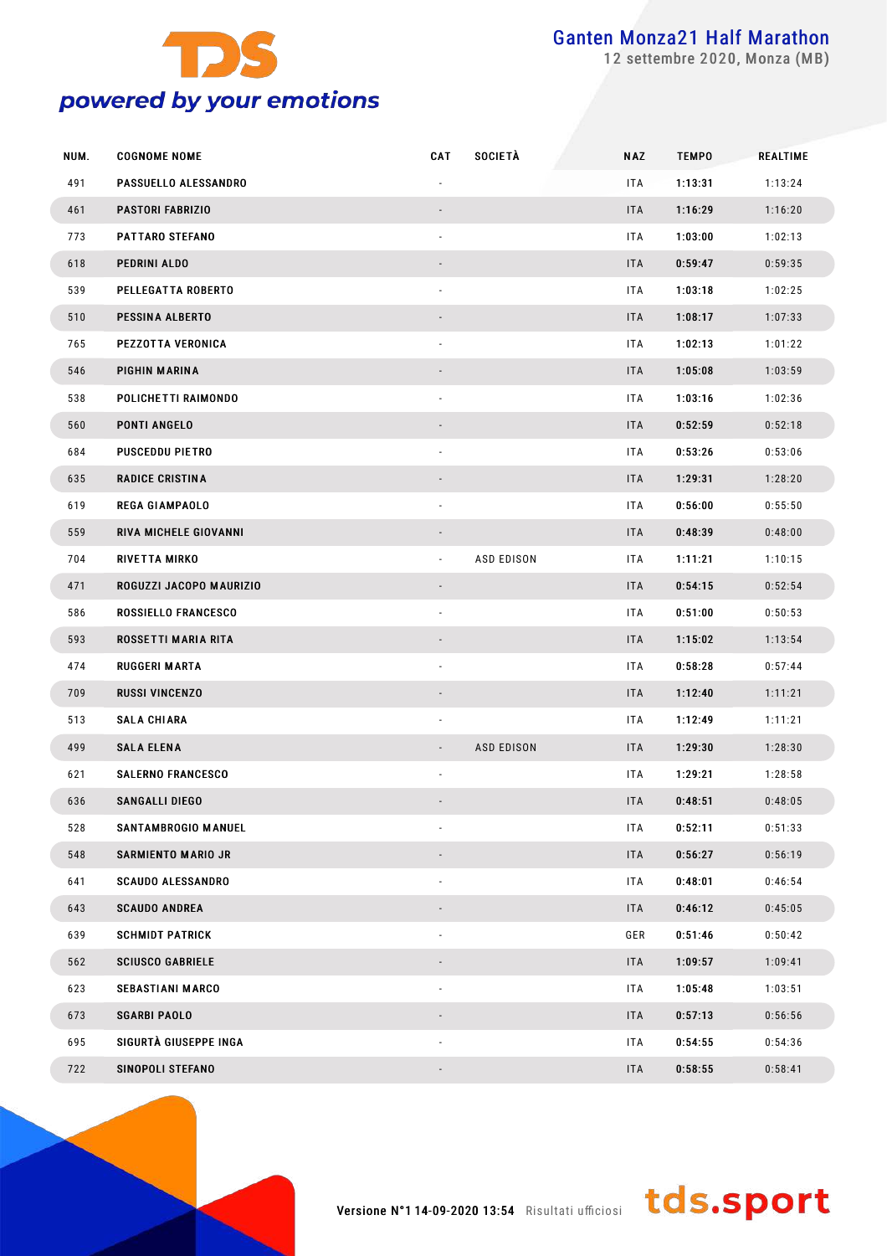

settembre 2020, Monza (MB)

| NUM. | <b>COGNOME NOME</b>      | <b>CAT</b>                  | <b>SOCIETÀ</b>    | <b>NAZ</b> | <b>TEMPO</b> | <b>REALTIME</b> |
|------|--------------------------|-----------------------------|-------------------|------------|--------------|-----------------|
| 491  | PASSUELLO ALESSANDRO     |                             |                   | ITA        | 1:13:31      | 1:13:24         |
| 461  | <b>PASTORI FABRIZIO</b>  |                             |                   | <b>ITA</b> | 1:16:29      | 1:16:20         |
| 773  | PATTARO STEFANO          |                             |                   | ITA        | 1:03:00      | 1:02:13         |
| 618  | PEDRINI ALDO             |                             |                   | <b>ITA</b> | 0:59:47      | 0:59:35         |
| 539  | PELLEGATTA ROBERTO       |                             |                   | ITA        | 1:03:18      | 1:02:25         |
| 510  | PESSINA ALBERTO          |                             |                   | <b>ITA</b> | 1:08:17      | 1:07:33         |
| 765  | PEZZOTTA VERONICA        |                             |                   | ITA        | 1:02:13      | 1:01:22         |
| 546  | PIGHIN MARINA            |                             |                   | <b>ITA</b> | 1:05:08      | 1:03:59         |
| 538  | POLICHETTI RAIMONDO      |                             |                   | ITA        | 1:03:16      | 1:02:36         |
| 560  | <b>PONTI ANGELO</b>      |                             |                   | <b>ITA</b> | 0:52:59      | 0:52:18         |
| 684  | <b>PUSCEDDU PIETRO</b>   |                             |                   | ITA        | 0:53:26      | 0:53:06         |
| 635  | <b>RADICE CRISTINA</b>   |                             |                   | <b>ITA</b> | 1:29:31      | 1:28:20         |
| 619  | <b>REGA GIAMPAOLO</b>    |                             |                   | <b>ITA</b> | 0:56:00      | 0:55:50         |
| 559  | RIVA MICHELE GIOVANNI    |                             |                   | <b>ITA</b> | 0:48:39      | 0:48:00         |
| 704  | <b>RIVETTA MIRKO</b>     | $\mathcal{L}_{\mathcal{A}}$ | <b>ASD EDISON</b> | ITA        | 1:11:21      | 1:10:15         |
| 471  | ROGUZZI JACOPO MAURIZIO  |                             |                   | <b>ITA</b> | 0:54:15      | 0:52:54         |
| 586  | ROSSIELLO FRANCESCO      |                             |                   | ITA        | 0:51:00      | 0:50:53         |
| 593  | ROSSETTI MARIA RITA      |                             |                   | ITA        | 1:15:02      | 1:13:54         |
| 474  | <b>RUGGERI MARTA</b>     |                             |                   | ITA        | 0:58:28      | 0:57:44         |
| 709  | <b>RUSSI VINCENZO</b>    |                             |                   | <b>ITA</b> | 1:12:40      | 1:11:21         |
| 513  | <b>SALA CHIARA</b>       |                             |                   | ITA        | 1:12:49      | 1:11:21         |
| 499  | <b>SALA ELENA</b>        |                             | <b>ASD EDISON</b> | <b>ITA</b> | 1:29:30      | 1:28:30         |
| 621  | <b>SALERNO FRANCESCO</b> |                             |                   | ITA        | 1:29:21      | 1:28:58         |
| 636  | <b>SANGALLI DIEGO</b>    |                             |                   | <b>ITA</b> | 0:48:51      | 0:48:05         |
| 528  | SANTAMBROGIO MANUEL      |                             |                   | ITA        | 0:52:11      | 0:51:33         |
| 548  | SARMIENTO MARIO JR       |                             |                   | <b>ITA</b> | 0:56:27      | 0:56:19         |
| 641  | <b>SCAUDO ALESSANDRO</b> |                             |                   | ITA        | 0:48:01      | 0:46:54         |
| 643  | <b>SCAUDO ANDREA</b>     |                             |                   | <b>ITA</b> | 0:46:12      | 0:45:05         |
| 639  | <b>SCHMIDT PATRICK</b>   |                             |                   | GER        | 0:51:46      | 0:50:42         |
| 562  | <b>SCIUSCO GABRIELE</b>  |                             |                   | <b>ITA</b> | 1:09:57      | 1:09:41         |
| 623  | <b>SEBASTIANI MARCO</b>  |                             |                   | ITA        | 1:05:48      | 1:03:51         |
| 673  | <b>SGARBI PAOLO</b>      |                             |                   | <b>ITA</b> | 0:57:13      | 0:56:56         |
| 695  | SIGURTÀ GIUSEPPE INGA    |                             |                   | ITA        | 0:54:55      | 0:54:36         |
| 722  | SINOPOLI STEFANO         |                             |                   | <b>ITA</b> | 0:58:55      | 0:58:41         |

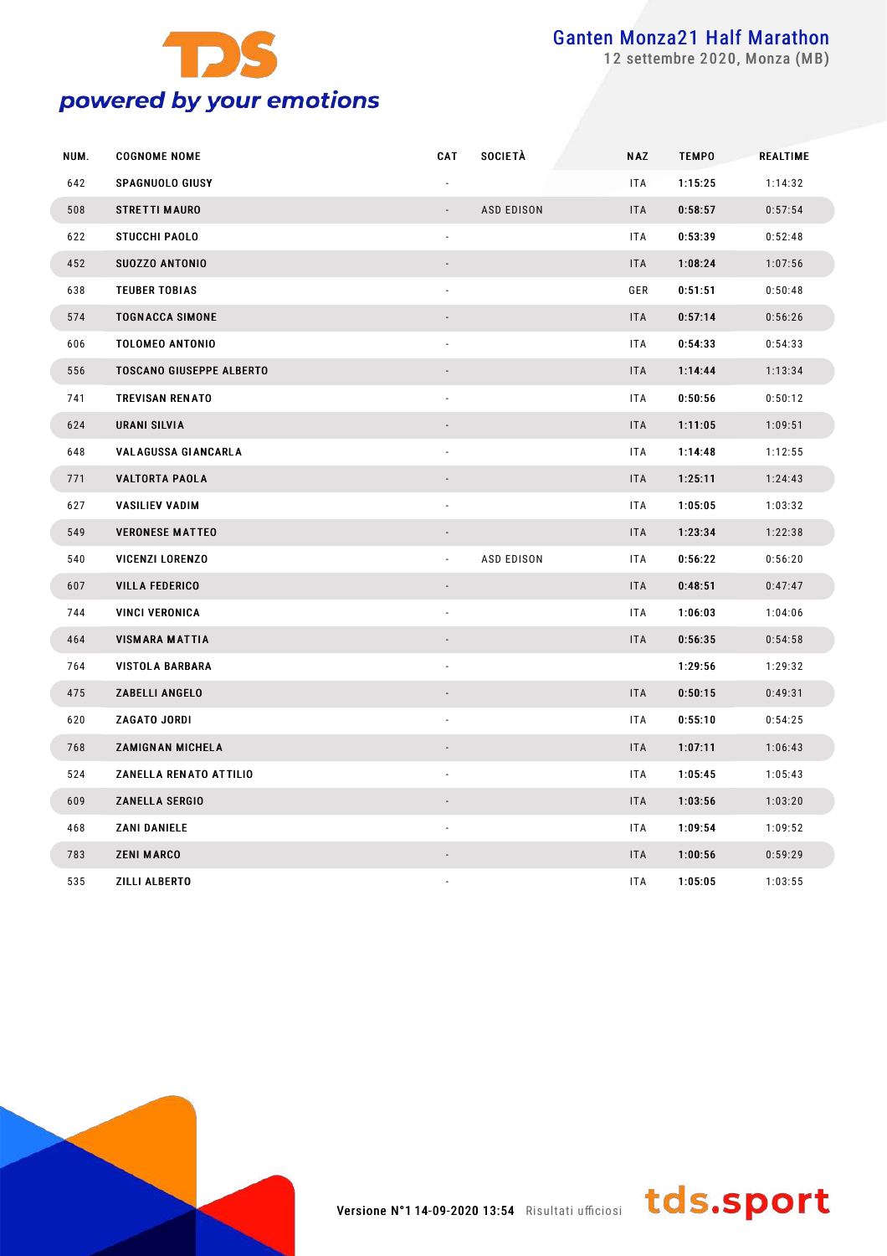

settembre 2020, Monza (MB)

| NUM. | <b>COGNOME NOME</b>             | CAT                      | SOCIETÀ           | <b>NAZ</b> | <b>TEMPO</b> | REALTIME |
|------|---------------------------------|--------------------------|-------------------|------------|--------------|----------|
| 642  | <b>SPAGNUOLO GIUSY</b>          |                          |                   | ITA        | 1:15:25      | 1:14:32  |
| 508  | <b>STRETTI MAURO</b>            |                          | <b>ASD EDISON</b> | <b>ITA</b> | 0:58:57      | 0:57:54  |
| 622  | <b>STUCCHI PAOLO</b>            | $\sim$                   |                   | <b>ITA</b> | 0:53:39      | 0:52:48  |
| 452  | SU0ZZO ANTONIO                  |                          |                   | <b>ITA</b> | 1:08:24      | 1:07:56  |
| 638  | <b>TEUBER TOBIAS</b>            | $\overline{\phantom{a}}$ |                   | GER        | 0:51:51      | 0:50:48  |
| 574  | <b>TOGNACCA SIMONE</b>          | $\overline{\phantom{a}}$ |                   | <b>ITA</b> | 0:57:14      | 0:56:26  |
| 606  | <b>TOLOMEO ANTONIO</b>          | $\blacksquare$           |                   | ITA        | 0:54:33      | 0:54:33  |
| 556  | <b>TOSCANO GIUSEPPE ALBERTO</b> |                          |                   | <b>ITA</b> | 1:14:44      | 1:13:34  |
| 741  | <b>TREVISAN RENATO</b>          | ÷,                       |                   | ITA        | 0:50:56      | 0:50:12  |
| 624  | <b>URANI SILVIA</b>             |                          |                   | <b>ITA</b> | 1:11:05      | 1:09:51  |
| 648  | <b>VALAGUSSA GIANCARLA</b>      | ä,                       |                   | <b>ITA</b> | 1:14:48      | 1:12:55  |
| 771  | <b>VALTORTA PAOLA</b>           |                          |                   | <b>ITA</b> | 1:25:11      | 1:24:43  |
| 627  | <b>VASILIEV VADIM</b>           | ä,                       |                   | ITA        | 1:05:05      | 1:03:32  |
| 549  | <b>VERONESE MATTEO</b>          |                          |                   | <b>ITA</b> | 1:23:34      | 1:22:38  |
| 540  | <b>VICENZI LORENZO</b>          | $\blacksquare$           | <b>ASD EDISON</b> | ITA        | 0:56:22      | 0:56:20  |
| 607  | <b>VILLA FEDERICO</b>           | $\blacksquare$           |                   | <b>ITA</b> | 0:48:51      | 0:47:47  |
| 744  | <b>VINCI VERONICA</b>           | ä,                       |                   | <b>ITA</b> | 1:06:03      | 1:04:06  |
| 464  | <b>VISMARA MATTIA</b>           |                          |                   | <b>ITA</b> | 0:56:35      | 0:54:58  |
| 764  | <b>VISTOLA BARBARA</b>          | ÷,                       |                   |            | 1:29:56      | 1:29:32  |
| 475  | ZABELLI ANGELO                  |                          |                   | <b>ITA</b> | 0:50:15      | 0:49:31  |
| 620  | <b>ZAGATO JORDI</b>             | ÷,                       |                   | ITA        | 0:55:10      | 0:54:25  |
| 768  | <b>ZAMIGNAN MICHELA</b>         |                          |                   | <b>ITA</b> | 1:07:11      | 1:06:43  |
| 524  | <b>ZANELLA RENATO ATTILIO</b>   |                          |                   | ITA        | 1:05:45      | 1:05:43  |
| 609  | <b>ZANELLA SERGIO</b>           |                          |                   | ITA        | 1:03:56      | 1:03:20  |
| 468  | <b>ZANI DANIELE</b>             | $\blacksquare$           |                   | ITA        | 1:09:54      | 1:09:52  |
| 783  | <b>ZENI MARCO</b>               | $\overline{\phantom{a}}$ |                   | <b>ITA</b> | 1:00:56      | 0:59:29  |
| 535  | <b>ZILLI ALBERTO</b>            |                          |                   | ITA        | 1:05:05      | 1:03:55  |



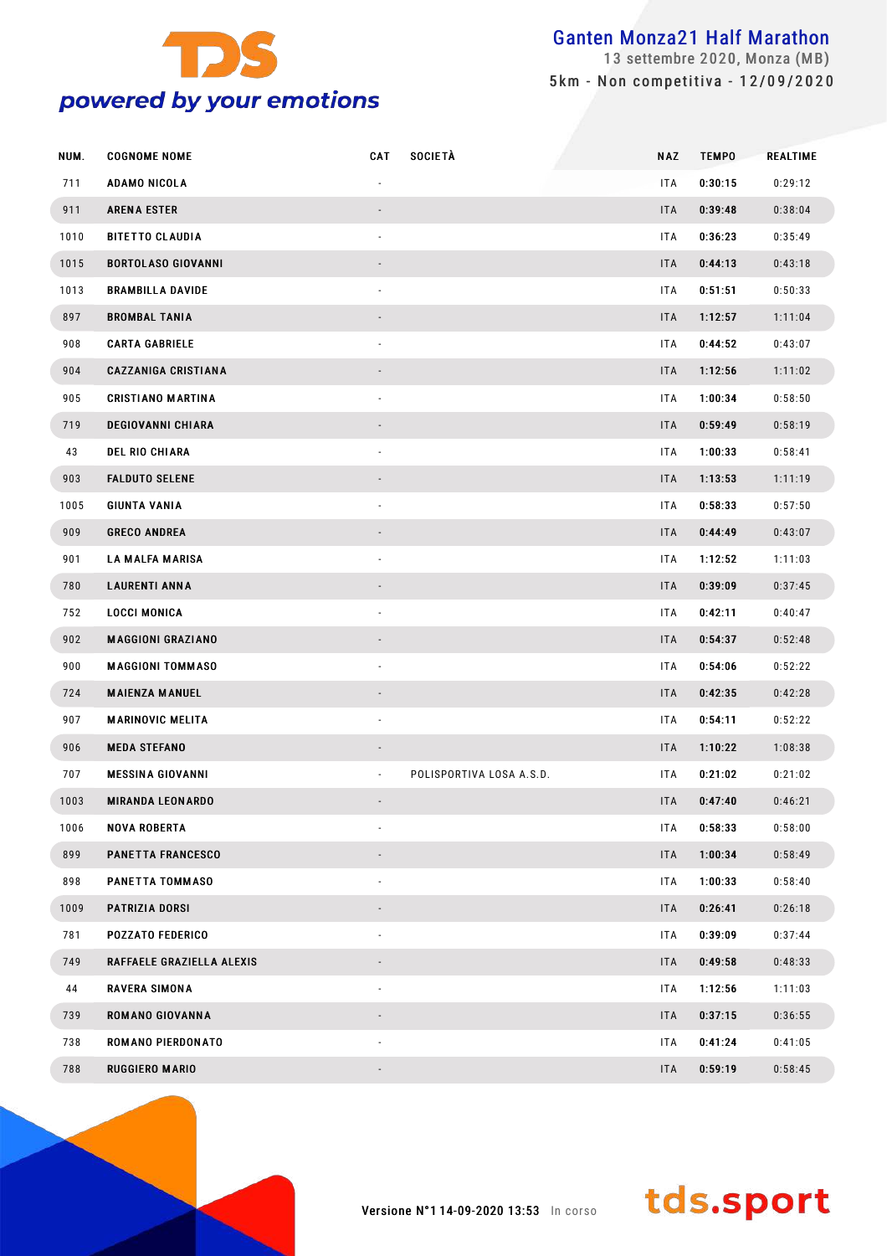

 settembre 2020, Monza (MB) 5 km - Non competitiva - 12/09/2020

| NUM. | <b>COGNOME NOME</b>        | CAT                          | <b>SOCIETÀ</b>           | <b>NAZ</b> | <b>TEMPO</b> | REALTIME |
|------|----------------------------|------------------------------|--------------------------|------------|--------------|----------|
| 711  | ADAMO NICOLA               |                              |                          | <b>ITA</b> | 0:30:15      | 0:29:12  |
| 911  | <b>ARENA ESTER</b>         | $\overline{\phantom{a}}$     |                          | <b>ITA</b> | 0:39:48      | 0:38:04  |
| 1010 | <b>BITETTO CLAUDIA</b>     | $\overline{\phantom{a}}$     |                          | ITA.       | 0:36:23      | 0:35:49  |
| 1015 | <b>BORTOLASO GIOVANNI</b>  |                              |                          | ITA        | 0:44:13      | 0:43:18  |
| 1013 | <b>BRAMBILLA DAVIDE</b>    | $\overline{\phantom{a}}$     |                          | <b>ITA</b> | 0:51:51      | 0:50:33  |
| 897  | <b>BROMBAL TANIA</b>       |                              |                          | ITA        | 1:12:57      | 1:11:04  |
| 908  | <b>CARTA GABRIELE</b>      | $\overline{\phantom{a}}$     |                          | <b>ITA</b> | 0:44:52      | 0:43:07  |
| 904  | <b>CAZZANIGA CRISTIANA</b> |                              |                          | ITA        | 1:12:56      | 1:11:02  |
| 905  | <b>CRISTIANO MARTINA</b>   | $\overline{\phantom{a}}$     |                          | ITA.       | 1:00:34      | 0:58:50  |
| 719  | <b>DEGIOVANNI CHIARA</b>   |                              |                          | ITA        | 0:59:49      | 0:58:19  |
| 43   | <b>DEL RIO CHIARA</b>      | $\overline{\phantom{a}}$     |                          | ITA.       | 1:00:33      | 0:58:41  |
| 903  | <b>FALDUTO SELENE</b>      |                              |                          | <b>ITA</b> | 1:13:53      | 1:11:19  |
| 1005 | <b>GIUNTA VANIA</b>        | $\overline{\phantom{a}}$     |                          | ITA.       | 0:58:33      | 0:57:50  |
| 909  | <b>GRECO ANDREA</b>        | $\overline{\phantom{a}}$     |                          | ITA        | 0:44:49      | 0:43:07  |
| 901  | <b>LA MALFA MARISA</b>     | $\overline{\phantom{a}}$     |                          | ITA.       | 1:12:52      | 1:11:03  |
| 780  | <b>LAURENTI ANNA</b>       | $\overline{\phantom{a}}$     |                          | <b>ITA</b> | 0:39:09      | 0:37:45  |
| 752  | <b>LOCCI MONICA</b>        | $\overline{\phantom{a}}$     |                          | ITA.       | 0:42:11      | 0:40:47  |
| 902  | <b>MAGGIONI GRAZIANO</b>   | $\overline{\phantom{a}}$     |                          | <b>ITA</b> | 0:54:37      | 0:52:48  |
| 900  | <b>MAGGIONI TOMMASO</b>    | $\overline{\phantom{a}}$     |                          | ITA.       | 0:54:06      | 0:52:22  |
| 724  | <b>MAIENZA MANUEL</b>      | $\overline{\phantom{a}}$     |                          | ITA        | 0:42:35      | 0:42:28  |
| 907  | <b>MARINOVIC MELITA</b>    | $\overline{\phantom{a}}$     |                          | ITA        | 0:54:11      | 0:52:22  |
| 906  | <b>MEDA STEFANO</b>        |                              |                          | ITA        | 1:10:22      | 1:08:38  |
| 707  | <b>MESSINA GIOVANNI</b>    | $\overline{\phantom{a}}$     | POLISPORTIVA LOSA A.S.D. | ITA.       | 0:21:02      | 0:21:02  |
| 1003 | <b>MIRANDA LEONARDO</b>    |                              |                          | ITA        | 0:47:40      | 0:46:21  |
| 1006 | <b>NOVA ROBERTA</b>        |                              |                          | ITA        | 0:58:33      | 0:58:00  |
| 899  | <b>PANETTA FRANCESCO</b>   |                              |                          | ITA        | 1:00:34      | 0:58:49  |
| 898  | PANETTA TOMMASO            | $\overline{\phantom{a}}$     |                          | ITA        | 1:00:33      | 0:58:40  |
| 1009 | PATRIZIA DORSI             |                              |                          | ITA        | 0:26:41      | 0:26:18  |
| 781  | <b>POZZATO FEDERICO</b>    | $\overline{\phantom{a}}$     |                          | ITA        | 0:39:09      | 0:37:44  |
| 749  | RAFFAELE GRAZIELLA ALEXIS  |                              |                          | ITA        | 0:49:58      | 0:48:33  |
| 44   | <b>RAVERA SIMONA</b>       | ٠                            |                          | ITA        | 1:12:56      | 1:11:03  |
| 739  | ROMANO GIOVANNA            |                              |                          | <b>ITA</b> | 0:37:15      | 0:36:55  |
| 738  | ROMANO PIERDONATO          | ٠                            |                          | ITA        | 0:41:24      | 0:41:05  |
| 788  | <b>RUGGIERO MARIO</b>      | $\qquad \qquad \blacksquare$ |                          | ITA        | 0:59:19      | 0:58:45  |